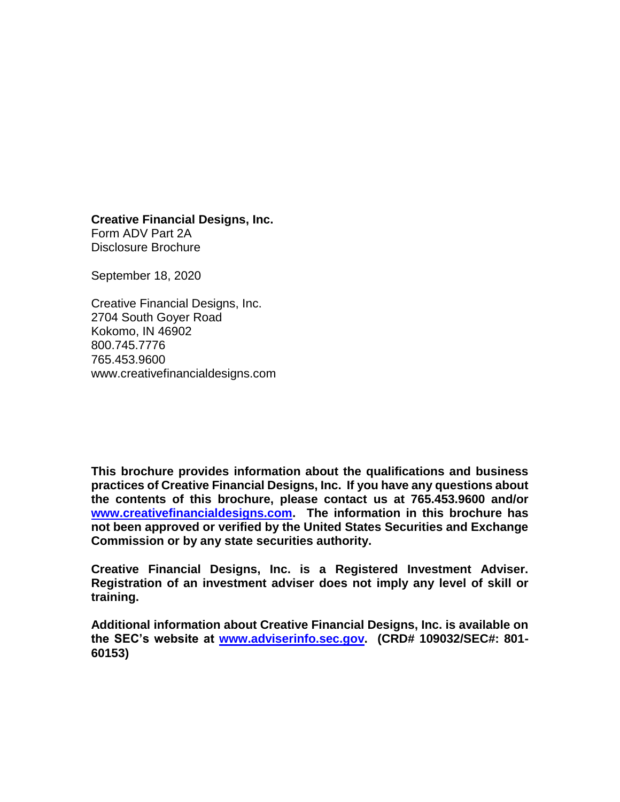**Creative Financial Designs, Inc.**

Form ADV Part 2A Disclosure Brochure

September 18, 2020

Creative Financial Designs, Inc. 2704 South Goyer Road Kokomo, IN 46902 800.745.7776 765.453.9600 www.creativefinancialdesigns.com

**This brochure provides information about the qualifications and business practices of Creative Financial Designs, Inc. If you have any questions about the contents of this brochure, please contact us at 765.453.9600 and/or [www.creativefinancialdesigns.com.](http://www.creativefinancialdesigns.com/) The information in this brochure has not been approved or verified by the United States Securities and Exchange Commission or by any state securities authority.** 

**Creative Financial Designs, Inc. is a Registered Investment Adviser. Registration of an investment adviser does not imply any level of skill or training.**

**Additional information about Creative Financial Designs, Inc. is available on the SEC's website at [www.adviserinfo.sec.gov.](http://www.adviserinfo.sec.gov/) (CRD# 109032/SEC#: 801- 60153)**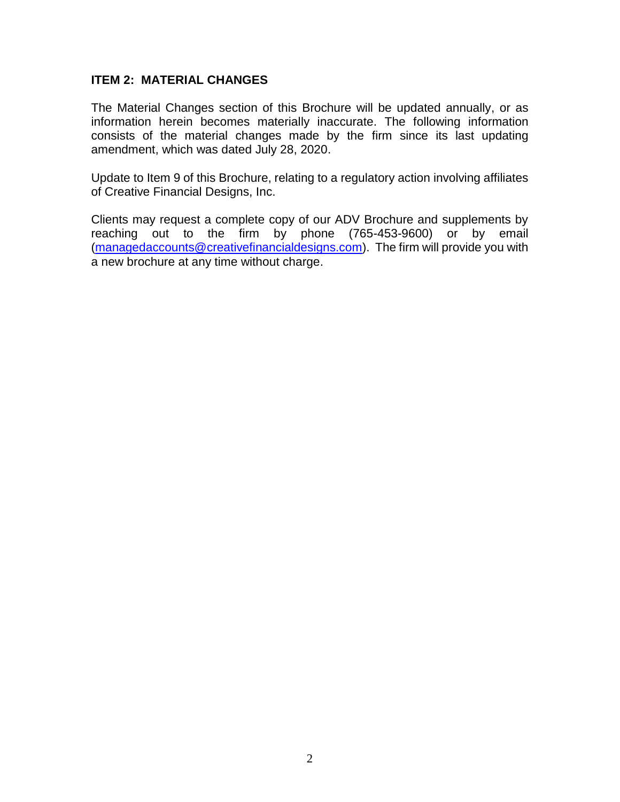#### **ITEM 2: MATERIAL CHANGES**

The Material Changes section of this Brochure will be updated annually, or as information herein becomes materially inaccurate. The following information consists of the material changes made by the firm since its last updating amendment, which was dated July 28, 2020.

Update to Item 9 of this Brochure, relating to a regulatory action involving affiliates of Creative Financial Designs, Inc.

Clients may request a complete copy of our ADV Brochure and supplements by reaching out to the firm by phone (765-453-9600) or by email [\(managedaccounts@creativefinancialdesigns.com\)](mailto:managedaccounts@creativefinancialdesigns.com). The firm will provide you with a new brochure at any time without charge.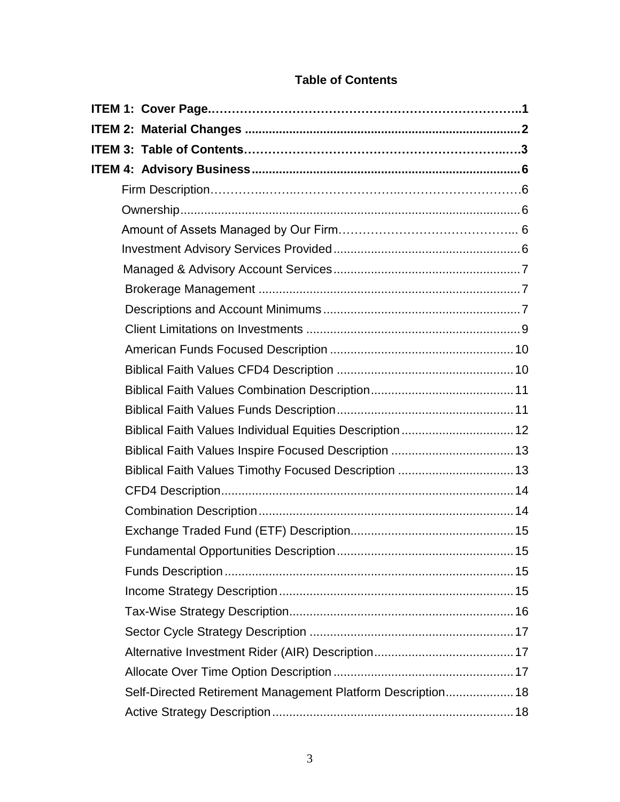| Biblical Faith Values Individual Equities Description  12   |
|-------------------------------------------------------------|
| Biblical Faith Values Inspire Focused Description  13       |
| Biblical Faith Values Timothy Focused Description  13       |
|                                                             |
|                                                             |
|                                                             |
|                                                             |
|                                                             |
|                                                             |
|                                                             |
|                                                             |
|                                                             |
|                                                             |
| Self-Directed Retirement Management Platform Description 18 |
|                                                             |

# **Table of Contents**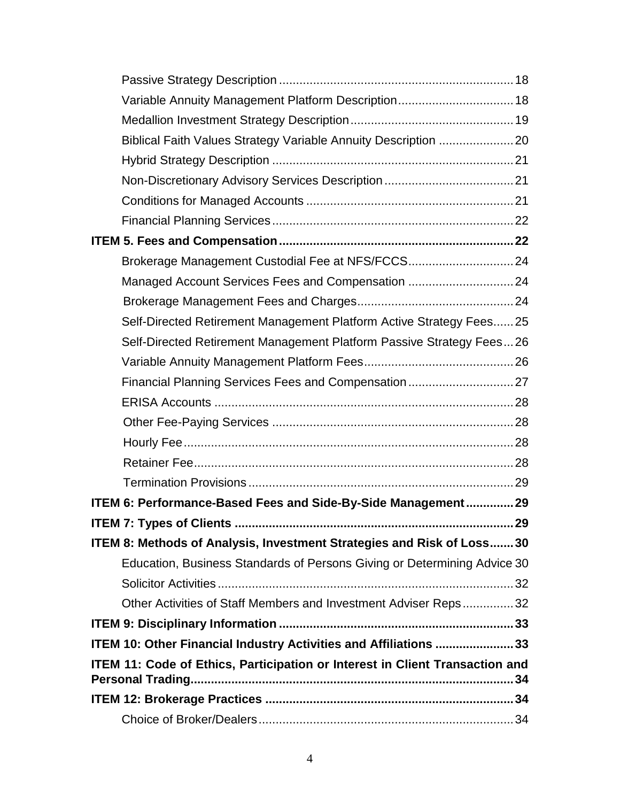| Variable Annuity Management Platform Description 18                          |  |
|------------------------------------------------------------------------------|--|
|                                                                              |  |
|                                                                              |  |
|                                                                              |  |
|                                                                              |  |
|                                                                              |  |
|                                                                              |  |
|                                                                              |  |
| Brokerage Management Custodial Fee at NFS/FCCS24                             |  |
| Managed Account Services Fees and Compensation  24                           |  |
|                                                                              |  |
| Self-Directed Retirement Management Platform Active Strategy Fees25          |  |
| Self-Directed Retirement Management Platform Passive Strategy Fees26         |  |
|                                                                              |  |
|                                                                              |  |
|                                                                              |  |
|                                                                              |  |
|                                                                              |  |
|                                                                              |  |
|                                                                              |  |
| ITEM 6: Performance-Based Fees and Side-By-Side Management 29                |  |
|                                                                              |  |
| ITEM 8: Methods of Analysis, Investment Strategies and Risk of Loss30        |  |
| Education, Business Standards of Persons Giving or Determining Advice 30     |  |
|                                                                              |  |
| Other Activities of Staff Members and Investment Adviser Reps32              |  |
|                                                                              |  |
| ITEM 10: Other Financial Industry Activities and Affiliations 33             |  |
| ITEM 11: Code of Ethics, Participation or Interest in Client Transaction and |  |
|                                                                              |  |
|                                                                              |  |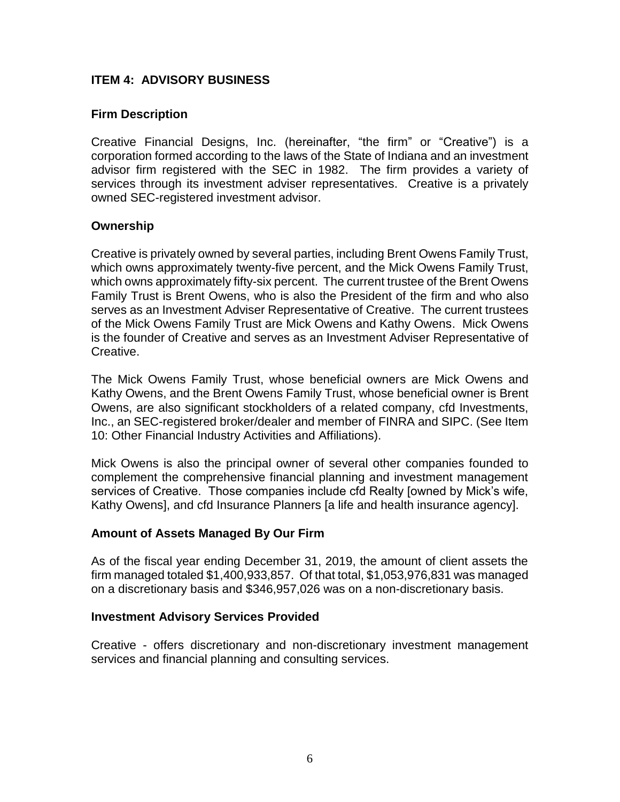### **ITEM 4: ADVISORY BUSINESS**

### **Firm Description**

Creative Financial Designs, Inc. (hereinafter, "the firm" or "Creative") is a corporation formed according to the laws of the State of Indiana and an investment advisor firm registered with the SEC in 1982. The firm provides a variety of services through its investment adviser representatives. Creative is a privately owned SEC-registered investment advisor.

#### **Ownership**

Creative is privately owned by several parties, including Brent Owens Family Trust, which owns approximately twenty-five percent, and the Mick Owens Family Trust, which owns approximately fifty-six percent. The current trustee of the Brent Owens Family Trust is Brent Owens, who is also the President of the firm and who also serves as an Investment Adviser Representative of Creative. The current trustees of the Mick Owens Family Trust are Mick Owens and Kathy Owens. Mick Owens is the founder of Creative and serves as an Investment Adviser Representative of Creative.

The Mick Owens Family Trust, whose beneficial owners are Mick Owens and Kathy Owens, and the Brent Owens Family Trust, whose beneficial owner is Brent Owens, are also significant stockholders of a related company, cfd Investments, Inc., an SEC-registered broker/dealer and member of FINRA and SIPC. (See Item 10: Other Financial Industry Activities and Affiliations).

Mick Owens is also the principal owner of several other companies founded to complement the comprehensive financial planning and investment management services of Creative. Those companies include cfd Realty [owned by Mick's wife, Kathy Owens], and cfd Insurance Planners [a life and health insurance agency].

#### **Amount of Assets Managed By Our Firm**

As of the fiscal year ending December 31, 2019, the amount of client assets the firm managed totaled \$1,400,933,857. Of that total, \$1,053,976,831 was managed on a discretionary basis and \$346,957,026 was on a non-discretionary basis.

#### **Investment Advisory Services Provided**

Creative - offers discretionary and non-discretionary investment management services and financial planning and consulting services.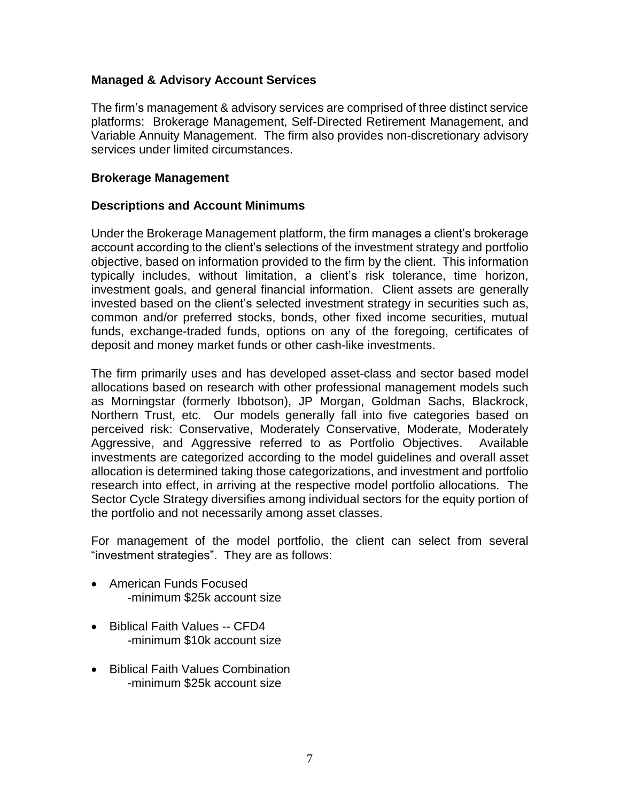### **Managed & Advisory Account Services**

The firm's management & advisory services are comprised of three distinct service platforms: Brokerage Management, Self-Directed Retirement Management, and Variable Annuity Management. The firm also provides non-discretionary advisory services under limited circumstances.

#### **Brokerage Management**

#### **Descriptions and Account Minimums**

Under the Brokerage Management platform, the firm manages a client's brokerage account according to the client's selections of the investment strategy and portfolio objective, based on information provided to the firm by the client. This information typically includes, without limitation, a client's risk tolerance, time horizon, investment goals, and general financial information. Client assets are generally invested based on the client's selected investment strategy in securities such as, common and/or preferred stocks, bonds, other fixed income securities, mutual funds, exchange-traded funds, options on any of the foregoing, certificates of deposit and money market funds or other cash-like investments.

The firm primarily uses and has developed asset-class and sector based model allocations based on research with other professional management models such as Morningstar (formerly Ibbotson), JP Morgan, Goldman Sachs, Blackrock, Northern Trust, etc. Our models generally fall into five categories based on perceived risk: Conservative, Moderately Conservative, Moderate, Moderately Aggressive, and Aggressive referred to as Portfolio Objectives. Available investments are categorized according to the model guidelines and overall asset allocation is determined taking those categorizations, and investment and portfolio research into effect, in arriving at the respective model portfolio allocations. The Sector Cycle Strategy diversifies among individual sectors for the equity portion of the portfolio and not necessarily among asset classes.

For management of the model portfolio, the client can select from several "investment strategies". They are as follows:

- American Funds Focused -minimum \$25k account size
- Biblical Faith Values -- CFD4 -minimum \$10k account size
- Biblical Faith Values Combination -minimum \$25k account size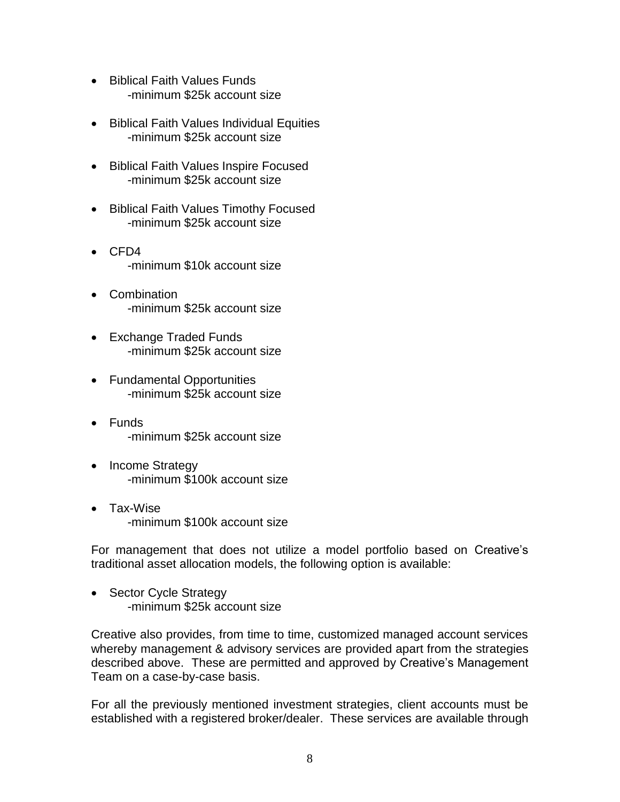- Biblical Faith Values Funds -minimum \$25k account size
- Biblical Faith Values Individual Equities -minimum \$25k account size
- Biblical Faith Values Inspire Focused -minimum \$25k account size
- Biblical Faith Values Timothy Focused -minimum \$25k account size
- $\bullet$  CFD4 -minimum \$10k account size
- Combination -minimum \$25k account size
- Exchange Traded Funds -minimum \$25k account size
- Fundamental Opportunities -minimum \$25k account size
- Funds -minimum \$25k account size
- Income Strategy -minimum \$100k account size
- Tax-Wise -minimum \$100k account size

For management that does not utilize a model portfolio based on Creative's traditional asset allocation models, the following option is available:

• Sector Cycle Strategy -minimum \$25k account size

Creative also provides, from time to time, customized managed account services whereby management & advisory services are provided apart from the strategies described above. These are permitted and approved by Creative's Management Team on a case-by-case basis.

For all the previously mentioned investment strategies, client accounts must be established with a registered broker/dealer. These services are available through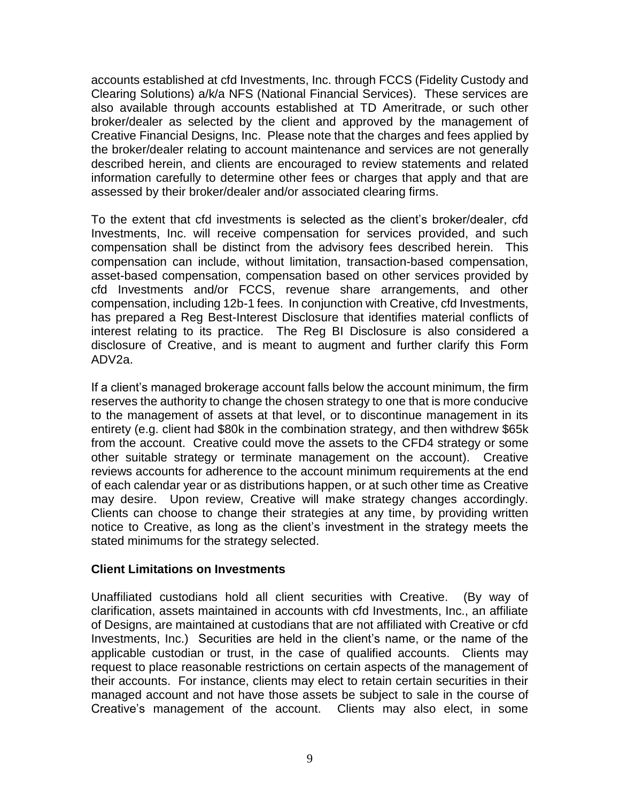accounts established at cfd Investments, Inc. through FCCS (Fidelity Custody and Clearing Solutions) a/k/a NFS (National Financial Services). These services are also available through accounts established at TD Ameritrade, or such other broker/dealer as selected by the client and approved by the management of Creative Financial Designs, Inc. Please note that the charges and fees applied by the broker/dealer relating to account maintenance and services are not generally described herein, and clients are encouraged to review statements and related information carefully to determine other fees or charges that apply and that are assessed by their broker/dealer and/or associated clearing firms.

To the extent that cfd investments is selected as the client's broker/dealer, cfd Investments, Inc. will receive compensation for services provided, and such compensation shall be distinct from the advisory fees described herein. This compensation can include, without limitation, transaction-based compensation, asset-based compensation, compensation based on other services provided by cfd Investments and/or FCCS, revenue share arrangements, and other compensation, including 12b-1 fees. In conjunction with Creative, cfd Investments, has prepared a Reg Best-Interest Disclosure that identifies material conflicts of interest relating to its practice. The Reg BI Disclosure is also considered a disclosure of Creative, and is meant to augment and further clarify this Form ADV2a.

If a client's managed brokerage account falls below the account minimum, the firm reserves the authority to change the chosen strategy to one that is more conducive to the management of assets at that level, or to discontinue management in its entirety (e.g. client had \$80k in the combination strategy, and then withdrew \$65k from the account. Creative could move the assets to the CFD4 strategy or some other suitable strategy or terminate management on the account). Creative reviews accounts for adherence to the account minimum requirements at the end of each calendar year or as distributions happen, or at such other time as Creative may desire. Upon review, Creative will make strategy changes accordingly. Clients can choose to change their strategies at any time, by providing written notice to Creative, as long as the client's investment in the strategy meets the stated minimums for the strategy selected.

#### **Client Limitations on Investments**

Unaffiliated custodians hold all client securities with Creative. (By way of clarification, assets maintained in accounts with cfd Investments, Inc., an affiliate of Designs, are maintained at custodians that are not affiliated with Creative or cfd Investments, Inc.) Securities are held in the client's name, or the name of the applicable custodian or trust, in the case of qualified accounts. Clients may request to place reasonable restrictions on certain aspects of the management of their accounts. For instance, clients may elect to retain certain securities in their managed account and not have those assets be subject to sale in the course of Creative's management of the account. Clients may also elect, in some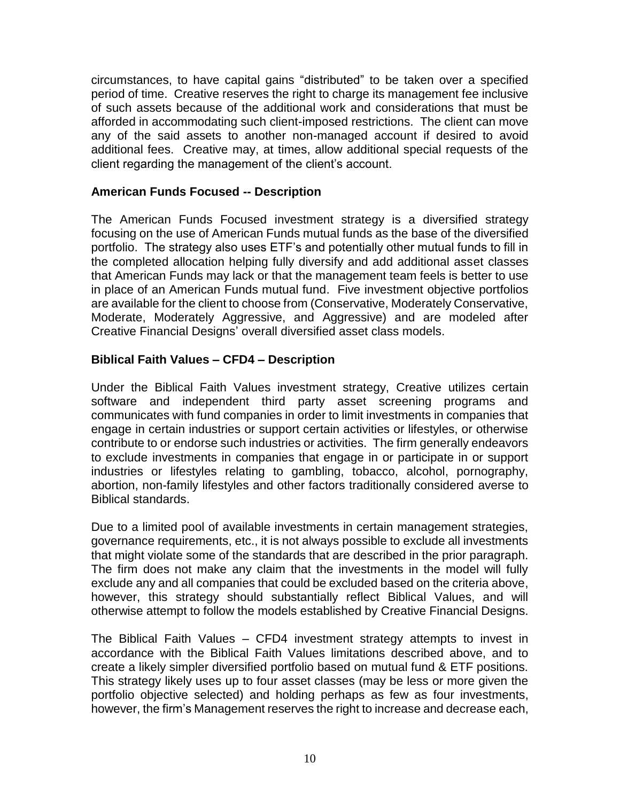circumstances, to have capital gains "distributed" to be taken over a specified period of time. Creative reserves the right to charge its management fee inclusive of such assets because of the additional work and considerations that must be afforded in accommodating such client-imposed restrictions. The client can move any of the said assets to another non-managed account if desired to avoid additional fees. Creative may, at times, allow additional special requests of the client regarding the management of the client's account.

### **American Funds Focused -- Description**

The American Funds Focused investment strategy is a diversified strategy focusing on the use of American Funds mutual funds as the base of the diversified portfolio. The strategy also uses ETF's and potentially other mutual funds to fill in the completed allocation helping fully diversify and add additional asset classes that American Funds may lack or that the management team feels is better to use in place of an American Funds mutual fund. Five investment objective portfolios are available for the client to choose from (Conservative, Moderately Conservative, Moderate, Moderately Aggressive, and Aggressive) and are modeled after Creative Financial Designs' overall diversified asset class models.

### **Biblical Faith Values – CFD4 – Description**

Under the Biblical Faith Values investment strategy, Creative utilizes certain software and independent third party asset screening programs and communicates with fund companies in order to limit investments in companies that engage in certain industries or support certain activities or lifestyles, or otherwise contribute to or endorse such industries or activities. The firm generally endeavors to exclude investments in companies that engage in or participate in or support industries or lifestyles relating to gambling, tobacco, alcohol, pornography, abortion, non-family lifestyles and other factors traditionally considered averse to Biblical standards.

Due to a limited pool of available investments in certain management strategies, governance requirements, etc., it is not always possible to exclude all investments that might violate some of the standards that are described in the prior paragraph. The firm does not make any claim that the investments in the model will fully exclude any and all companies that could be excluded based on the criteria above, however, this strategy should substantially reflect Biblical Values, and will otherwise attempt to follow the models established by Creative Financial Designs.

The Biblical Faith Values – CFD4 investment strategy attempts to invest in accordance with the Biblical Faith Values limitations described above, and to create a likely simpler diversified portfolio based on mutual fund & ETF positions. This strategy likely uses up to four asset classes (may be less or more given the portfolio objective selected) and holding perhaps as few as four investments, however, the firm's Management reserves the right to increase and decrease each,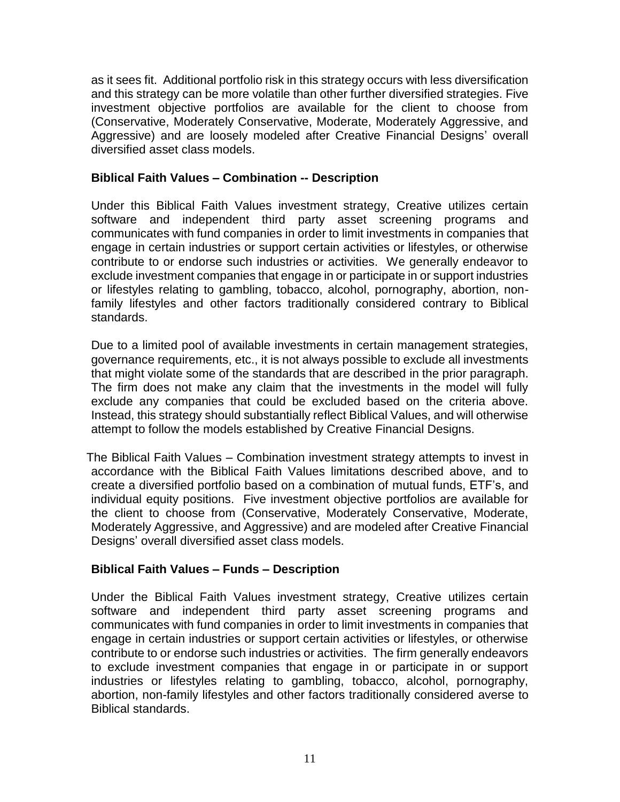as it sees fit. Additional portfolio risk in this strategy occurs with less diversification and this strategy can be more volatile than other further diversified strategies. Five investment objective portfolios are available for the client to choose from (Conservative, Moderately Conservative, Moderate, Moderately Aggressive, and Aggressive) and are loosely modeled after Creative Financial Designs' overall diversified asset class models.

### **Biblical Faith Values – Combination -- Description**

Under this Biblical Faith Values investment strategy, Creative utilizes certain software and independent third party asset screening programs and communicates with fund companies in order to limit investments in companies that engage in certain industries or support certain activities or lifestyles, or otherwise contribute to or endorse such industries or activities. We generally endeavor to exclude investment companies that engage in or participate in or support industries or lifestyles relating to gambling, tobacco, alcohol, pornography, abortion, nonfamily lifestyles and other factors traditionally considered contrary to Biblical standards.

Due to a limited pool of available investments in certain management strategies, governance requirements, etc., it is not always possible to exclude all investments that might violate some of the standards that are described in the prior paragraph. The firm does not make any claim that the investments in the model will fully exclude any companies that could be excluded based on the criteria above. Instead, this strategy should substantially reflect Biblical Values, and will otherwise attempt to follow the models established by Creative Financial Designs.

The Biblical Faith Values – Combination investment strategy attempts to invest in accordance with the Biblical Faith Values limitations described above, and to create a diversified portfolio based on a combination of mutual funds, ETF's, and individual equity positions. Five investment objective portfolios are available for the client to choose from (Conservative, Moderately Conservative, Moderate, Moderately Aggressive, and Aggressive) and are modeled after Creative Financial Designs' overall diversified asset class models.

# **Biblical Faith Values – Funds – Description**

Under the Biblical Faith Values investment strategy, Creative utilizes certain software and independent third party asset screening programs and communicates with fund companies in order to limit investments in companies that engage in certain industries or support certain activities or lifestyles, or otherwise contribute to or endorse such industries or activities. The firm generally endeavors to exclude investment companies that engage in or participate in or support industries or lifestyles relating to gambling, tobacco, alcohol, pornography, abortion, non-family lifestyles and other factors traditionally considered averse to Biblical standards.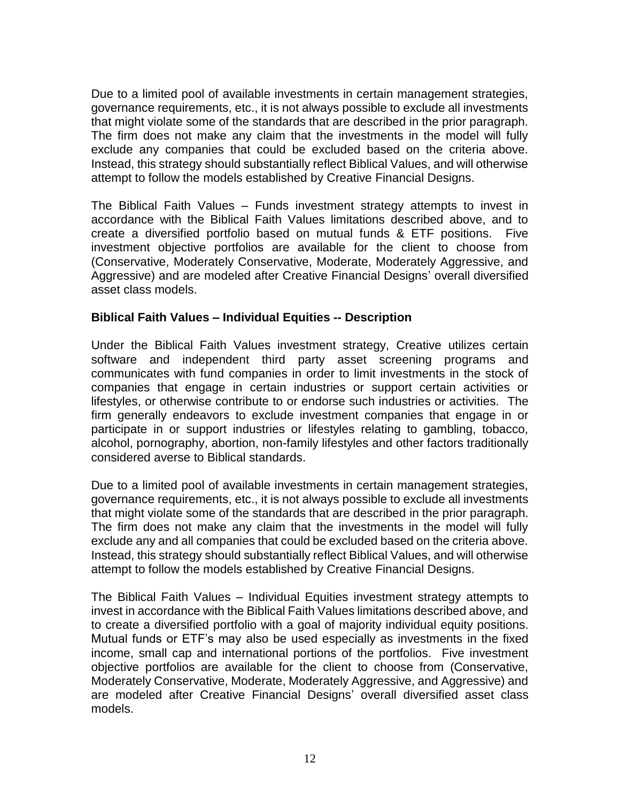Due to a limited pool of available investments in certain management strategies, governance requirements, etc., it is not always possible to exclude all investments that might violate some of the standards that are described in the prior paragraph. The firm does not make any claim that the investments in the model will fully exclude any companies that could be excluded based on the criteria above. Instead, this strategy should substantially reflect Biblical Values, and will otherwise attempt to follow the models established by Creative Financial Designs.

The Biblical Faith Values – Funds investment strategy attempts to invest in accordance with the Biblical Faith Values limitations described above, and to create a diversified portfolio based on mutual funds & ETF positions. Five investment objective portfolios are available for the client to choose from (Conservative, Moderately Conservative, Moderate, Moderately Aggressive, and Aggressive) and are modeled after Creative Financial Designs' overall diversified asset class models.

### **Biblical Faith Values – Individual Equities -- Description**

Under the Biblical Faith Values investment strategy, Creative utilizes certain software and independent third party asset screening programs and communicates with fund companies in order to limit investments in the stock of companies that engage in certain industries or support certain activities or lifestyles, or otherwise contribute to or endorse such industries or activities. The firm generally endeavors to exclude investment companies that engage in or participate in or support industries or lifestyles relating to gambling, tobacco, alcohol, pornography, abortion, non-family lifestyles and other factors traditionally considered averse to Biblical standards.

Due to a limited pool of available investments in certain management strategies, governance requirements, etc., it is not always possible to exclude all investments that might violate some of the standards that are described in the prior paragraph. The firm does not make any claim that the investments in the model will fully exclude any and all companies that could be excluded based on the criteria above. Instead, this strategy should substantially reflect Biblical Values, and will otherwise attempt to follow the models established by Creative Financial Designs.

The Biblical Faith Values – Individual Equities investment strategy attempts to invest in accordance with the Biblical Faith Values limitations described above, and to create a diversified portfolio with a goal of majority individual equity positions. Mutual funds or ETF's may also be used especially as investments in the fixed income, small cap and international portions of the portfolios. Five investment objective portfolios are available for the client to choose from (Conservative, Moderately Conservative, Moderate, Moderately Aggressive, and Aggressive) and are modeled after Creative Financial Designs' overall diversified asset class models.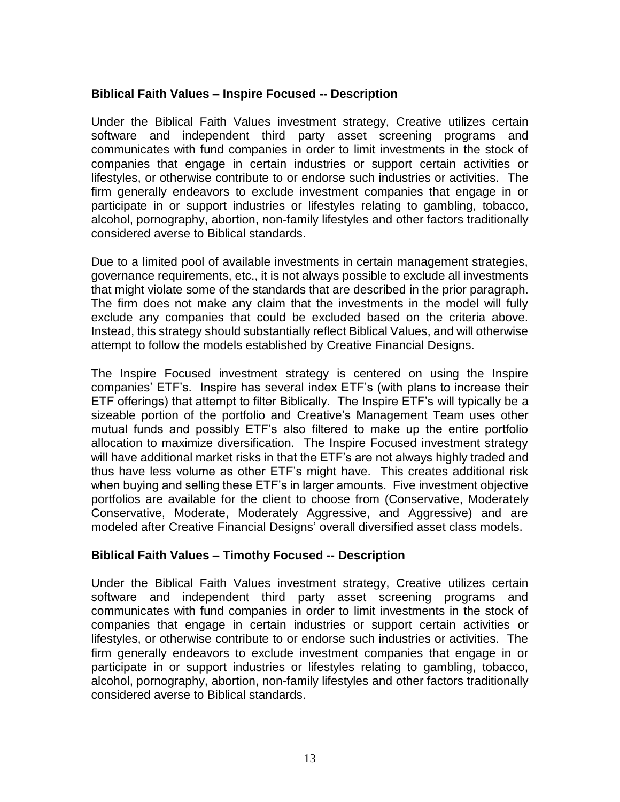### **Biblical Faith Values – Inspire Focused -- Description**

Under the Biblical Faith Values investment strategy, Creative utilizes certain software and independent third party asset screening programs and communicates with fund companies in order to limit investments in the stock of companies that engage in certain industries or support certain activities or lifestyles, or otherwise contribute to or endorse such industries or activities. The firm generally endeavors to exclude investment companies that engage in or participate in or support industries or lifestyles relating to gambling, tobacco, alcohol, pornography, abortion, non-family lifestyles and other factors traditionally considered averse to Biblical standards.

Due to a limited pool of available investments in certain management strategies, governance requirements, etc., it is not always possible to exclude all investments that might violate some of the standards that are described in the prior paragraph. The firm does not make any claim that the investments in the model will fully exclude any companies that could be excluded based on the criteria above. Instead, this strategy should substantially reflect Biblical Values, and will otherwise attempt to follow the models established by Creative Financial Designs.

The Inspire Focused investment strategy is centered on using the Inspire companies' ETF's. Inspire has several index ETF's (with plans to increase their ETF offerings) that attempt to filter Biblically. The Inspire ETF's will typically be a sizeable portion of the portfolio and Creative's Management Team uses other mutual funds and possibly ETF's also filtered to make up the entire portfolio allocation to maximize diversification. The Inspire Focused investment strategy will have additional market risks in that the ETF's are not always highly traded and thus have less volume as other ETF's might have. This creates additional risk when buying and selling these ETF's in larger amounts. Five investment objective portfolios are available for the client to choose from (Conservative, Moderately Conservative, Moderate, Moderately Aggressive, and Aggressive) and are modeled after Creative Financial Designs' overall diversified asset class models.

#### **Biblical Faith Values – Timothy Focused -- Description**

Under the Biblical Faith Values investment strategy, Creative utilizes certain software and independent third party asset screening programs and communicates with fund companies in order to limit investments in the stock of companies that engage in certain industries or support certain activities or lifestyles, or otherwise contribute to or endorse such industries or activities. The firm generally endeavors to exclude investment companies that engage in or participate in or support industries or lifestyles relating to gambling, tobacco, alcohol, pornography, abortion, non-family lifestyles and other factors traditionally considered averse to Biblical standards.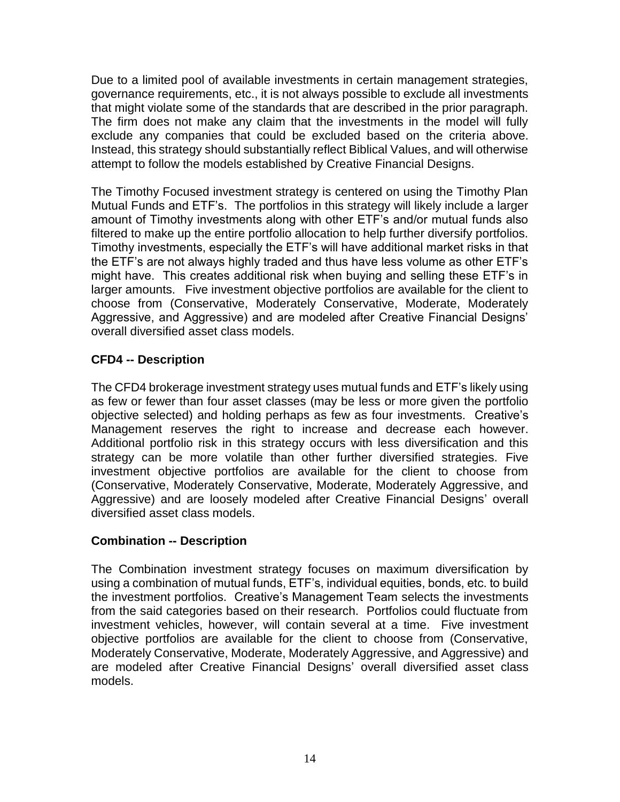Due to a limited pool of available investments in certain management strategies, governance requirements, etc., it is not always possible to exclude all investments that might violate some of the standards that are described in the prior paragraph. The firm does not make any claim that the investments in the model will fully exclude any companies that could be excluded based on the criteria above. Instead, this strategy should substantially reflect Biblical Values, and will otherwise attempt to follow the models established by Creative Financial Designs.

The Timothy Focused investment strategy is centered on using the Timothy Plan Mutual Funds and ETF's. The portfolios in this strategy will likely include a larger amount of Timothy investments along with other ETF's and/or mutual funds also filtered to make up the entire portfolio allocation to help further diversify portfolios. Timothy investments, especially the ETF's will have additional market risks in that the ETF's are not always highly traded and thus have less volume as other ETF's might have. This creates additional risk when buying and selling these ETF's in larger amounts. Five investment objective portfolios are available for the client to choose from (Conservative, Moderately Conservative, Moderate, Moderately Aggressive, and Aggressive) and are modeled after Creative Financial Designs' overall diversified asset class models.

# **CFD4 -- Description**

The CFD4 brokerage investment strategy uses mutual funds and ETF's likely using as few or fewer than four asset classes (may be less or more given the portfolio objective selected) and holding perhaps as few as four investments. Creative's Management reserves the right to increase and decrease each however. Additional portfolio risk in this strategy occurs with less diversification and this strategy can be more volatile than other further diversified strategies. Five investment objective portfolios are available for the client to choose from (Conservative, Moderately Conservative, Moderate, Moderately Aggressive, and Aggressive) and are loosely modeled after Creative Financial Designs' overall diversified asset class models.

# **Combination -- Description**

The Combination investment strategy focuses on maximum diversification by using a combination of mutual funds, ETF's, individual equities, bonds, etc. to build the investment portfolios. Creative's Management Team selects the investments from the said categories based on their research. Portfolios could fluctuate from investment vehicles, however, will contain several at a time. Five investment objective portfolios are available for the client to choose from (Conservative, Moderately Conservative, Moderate, Moderately Aggressive, and Aggressive) and are modeled after Creative Financial Designs' overall diversified asset class models.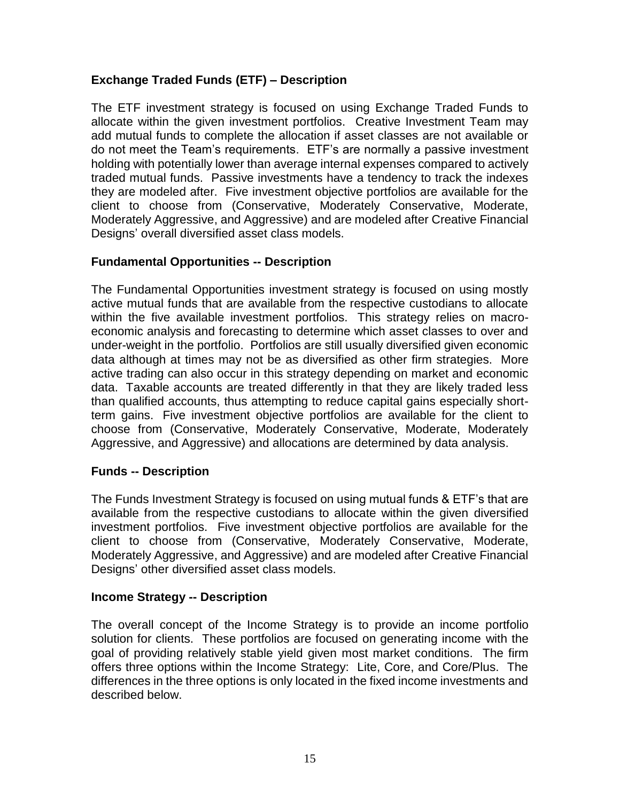# **Exchange Traded Funds (ETF) – Description**

The ETF investment strategy is focused on using Exchange Traded Funds to allocate within the given investment portfolios. Creative Investment Team may add mutual funds to complete the allocation if asset classes are not available or do not meet the Team's requirements. ETF's are normally a passive investment holding with potentially lower than average internal expenses compared to actively traded mutual funds. Passive investments have a tendency to track the indexes they are modeled after. Five investment objective portfolios are available for the client to choose from (Conservative, Moderately Conservative, Moderate, Moderately Aggressive, and Aggressive) and are modeled after Creative Financial Designs' overall diversified asset class models.

# **Fundamental Opportunities -- Description**

The Fundamental Opportunities investment strategy is focused on using mostly active mutual funds that are available from the respective custodians to allocate within the five available investment portfolios. This strategy relies on macroeconomic analysis and forecasting to determine which asset classes to over and under-weight in the portfolio. Portfolios are still usually diversified given economic data although at times may not be as diversified as other firm strategies. More active trading can also occur in this strategy depending on market and economic data. Taxable accounts are treated differently in that they are likely traded less than qualified accounts, thus attempting to reduce capital gains especially shortterm gains. Five investment objective portfolios are available for the client to choose from (Conservative, Moderately Conservative, Moderate, Moderately Aggressive, and Aggressive) and allocations are determined by data analysis.

# **Funds -- Description**

The Funds Investment Strategy is focused on using mutual funds & ETF's that are available from the respective custodians to allocate within the given diversified investment portfolios. Five investment objective portfolios are available for the client to choose from (Conservative, Moderately Conservative, Moderate, Moderately Aggressive, and Aggressive) and are modeled after Creative Financial Designs' other diversified asset class models.

#### **Income Strategy -- Description**

The overall concept of the Income Strategy is to provide an income portfolio solution for clients. These portfolios are focused on generating income with the goal of providing relatively stable yield given most market conditions. The firm offers three options within the Income Strategy: Lite, Core, and Core/Plus. The differences in the three options is only located in the fixed income investments and described below.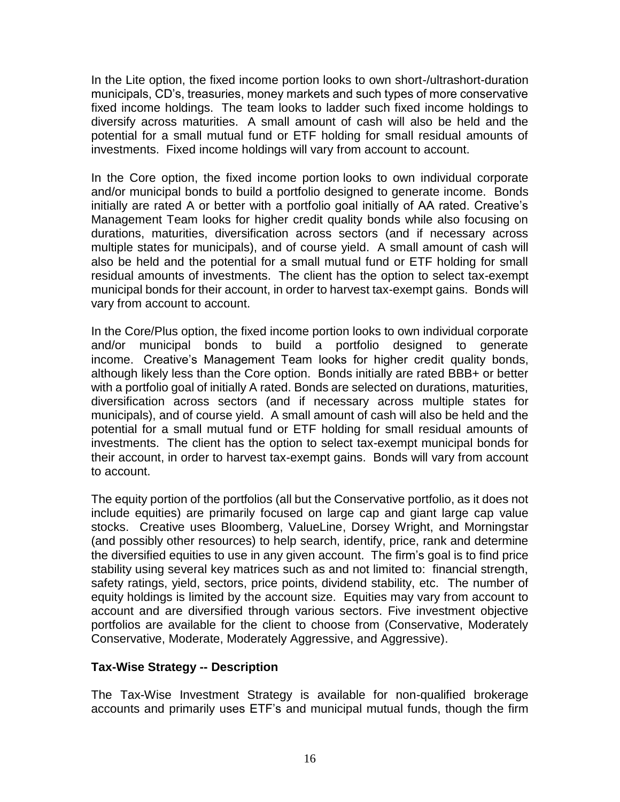In the Lite option, the fixed income portion looks to own short-/ultrashort-duration municipals, CD's, treasuries, money markets and such types of more conservative fixed income holdings. The team looks to ladder such fixed income holdings to diversify across maturities. A small amount of cash will also be held and the potential for a small mutual fund or ETF holding for small residual amounts of investments. Fixed income holdings will vary from account to account.

In the Core option, the fixed income portion looks to own individual corporate and/or municipal bonds to build a portfolio designed to generate income. Bonds initially are rated A or better with a portfolio goal initially of AA rated. Creative's Management Team looks for higher credit quality bonds while also focusing on durations, maturities, diversification across sectors (and if necessary across multiple states for municipals), and of course yield. A small amount of cash will also be held and the potential for a small mutual fund or ETF holding for small residual amounts of investments. The client has the option to select tax-exempt municipal bonds for their account, in order to harvest tax-exempt gains. Bonds will vary from account to account.

In the Core/Plus option, the fixed income portion looks to own individual corporate and/or municipal bonds to build a portfolio designed to generate income. Creative's Management Team looks for higher credit quality bonds, although likely less than the Core option. Bonds initially are rated BBB+ or better with a portfolio goal of initially A rated. Bonds are selected on durations, maturities, diversification across sectors (and if necessary across multiple states for municipals), and of course yield. A small amount of cash will also be held and the potential for a small mutual fund or ETF holding for small residual amounts of investments. The client has the option to select tax-exempt municipal bonds for their account, in order to harvest tax-exempt gains. Bonds will vary from account to account.

The equity portion of the portfolios (all but the Conservative portfolio, as it does not include equities) are primarily focused on large cap and giant large cap value stocks. Creative uses Bloomberg, ValueLine, Dorsey Wright, and Morningstar (and possibly other resources) to help search, identify, price, rank and determine the diversified equities to use in any given account. The firm's goal is to find price stability using several key matrices such as and not limited to: financial strength, safety ratings, yield, sectors, price points, dividend stability, etc. The number of equity holdings is limited by the account size. Equities may vary from account to account and are diversified through various sectors. Five investment objective portfolios are available for the client to choose from (Conservative, Moderately Conservative, Moderate, Moderately Aggressive, and Aggressive).

# **Tax-Wise Strategy -- Description**

The Tax-Wise Investment Strategy is available for non-qualified brokerage accounts and primarily uses ETF's and municipal mutual funds, though the firm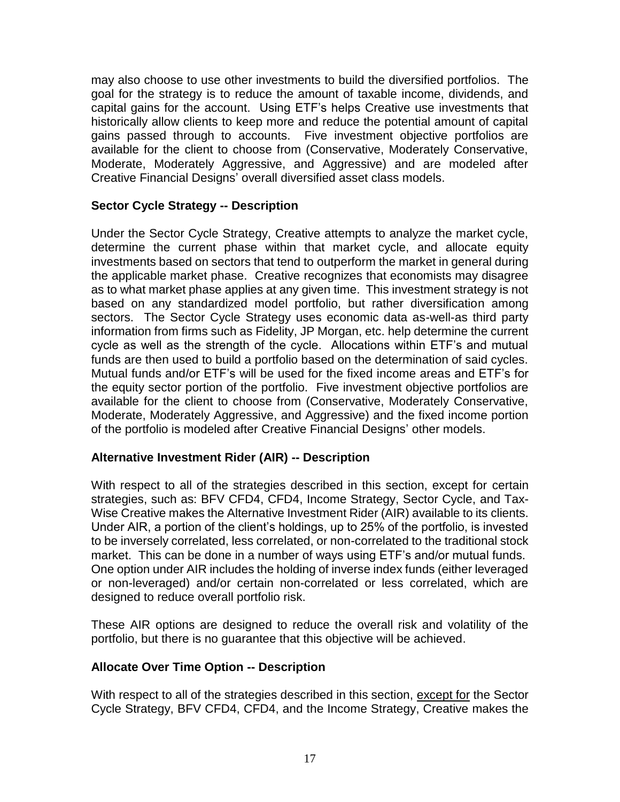may also choose to use other investments to build the diversified portfolios. The goal for the strategy is to reduce the amount of taxable income, dividends, and capital gains for the account. Using ETF's helps Creative use investments that historically allow clients to keep more and reduce the potential amount of capital gains passed through to accounts. Five investment objective portfolios are available for the client to choose from (Conservative, Moderately Conservative, Moderate, Moderately Aggressive, and Aggressive) and are modeled after Creative Financial Designs' overall diversified asset class models.

### **Sector Cycle Strategy -- Description**

Under the Sector Cycle Strategy, Creative attempts to analyze the market cycle, determine the current phase within that market cycle, and allocate equity investments based on sectors that tend to outperform the market in general during the applicable market phase. Creative recognizes that economists may disagree as to what market phase applies at any given time. This investment strategy is not based on any standardized model portfolio, but rather diversification among sectors. The Sector Cycle Strategy uses economic data as-well-as third party information from firms such as Fidelity, JP Morgan, etc. help determine the current cycle as well as the strength of the cycle. Allocations within ETF's and mutual funds are then used to build a portfolio based on the determination of said cycles. Mutual funds and/or ETF's will be used for the fixed income areas and ETF's for the equity sector portion of the portfolio. Five investment objective portfolios are available for the client to choose from (Conservative, Moderately Conservative, Moderate, Moderately Aggressive, and Aggressive) and the fixed income portion of the portfolio is modeled after Creative Financial Designs' other models.

# **Alternative Investment Rider (AIR) -- Description**

With respect to all of the strategies described in this section, except for certain strategies, such as: BFV CFD4, CFD4, Income Strategy, Sector Cycle, and Tax-Wise Creative makes the Alternative Investment Rider (AIR) available to its clients. Under AIR, a portion of the client's holdings, up to 25% of the portfolio, is invested to be inversely correlated, less correlated, or non-correlated to the traditional stock market. This can be done in a number of ways using ETF's and/or mutual funds. One option under AIR includes the holding of inverse index funds (either leveraged or non-leveraged) and/or certain non-correlated or less correlated, which are designed to reduce overall portfolio risk.

These AIR options are designed to reduce the overall risk and volatility of the portfolio, but there is no guarantee that this objective will be achieved.

#### **Allocate Over Time Option -- Description**

With respect to all of the strategies described in this section, except for the Sector Cycle Strategy, BFV CFD4, CFD4, and the Income Strategy, Creative makes the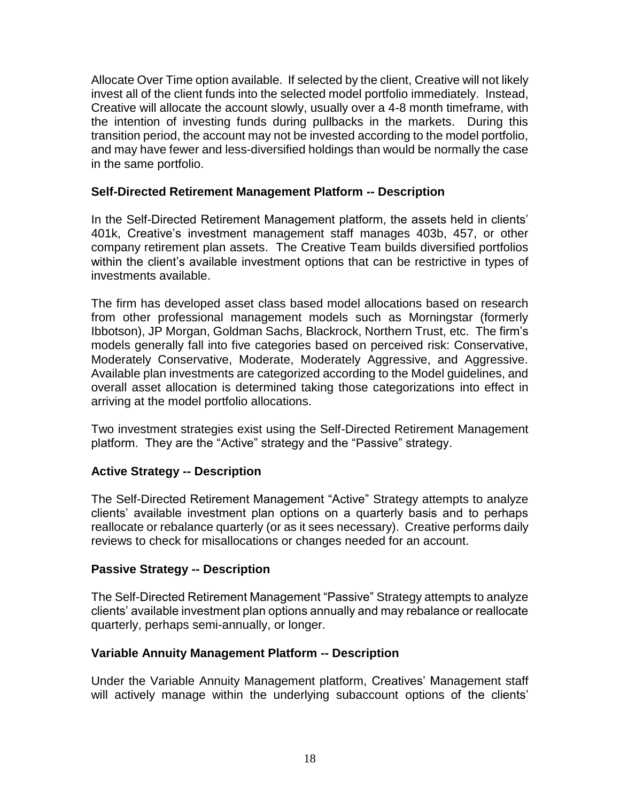Allocate Over Time option available. If selected by the client, Creative will not likely invest all of the client funds into the selected model portfolio immediately. Instead, Creative will allocate the account slowly, usually over a 4-8 month timeframe, with the intention of investing funds during pullbacks in the markets. During this transition period, the account may not be invested according to the model portfolio, and may have fewer and less-diversified holdings than would be normally the case in the same portfolio.

### **Self-Directed Retirement Management Platform -- Description**

In the Self-Directed Retirement Management platform, the assets held in clients' 401k, Creative's investment management staff manages 403b, 457, or other company retirement plan assets. The Creative Team builds diversified portfolios within the client's available investment options that can be restrictive in types of investments available.

The firm has developed asset class based model allocations based on research from other professional management models such as Morningstar (formerly Ibbotson), JP Morgan, Goldman Sachs, Blackrock, Northern Trust, etc. The firm's models generally fall into five categories based on perceived risk: Conservative, Moderately Conservative, Moderate, Moderately Aggressive, and Aggressive. Available plan investments are categorized according to the Model guidelines, and overall asset allocation is determined taking those categorizations into effect in arriving at the model portfolio allocations.

Two investment strategies exist using the Self-Directed Retirement Management platform. They are the "Active" strategy and the "Passive" strategy.

#### **Active Strategy -- Description**

The Self-Directed Retirement Management "Active" Strategy attempts to analyze clients' available investment plan options on a quarterly basis and to perhaps reallocate or rebalance quarterly (or as it sees necessary). Creative performs daily reviews to check for misallocations or changes needed for an account.

#### **Passive Strategy -- Description**

The Self-Directed Retirement Management "Passive" Strategy attempts to analyze clients' available investment plan options annually and may rebalance or reallocate quarterly, perhaps semi-annually, or longer.

#### **Variable Annuity Management Platform -- Description**

Under the Variable Annuity Management platform, Creatives' Management staff will actively manage within the underlying subaccount options of the clients'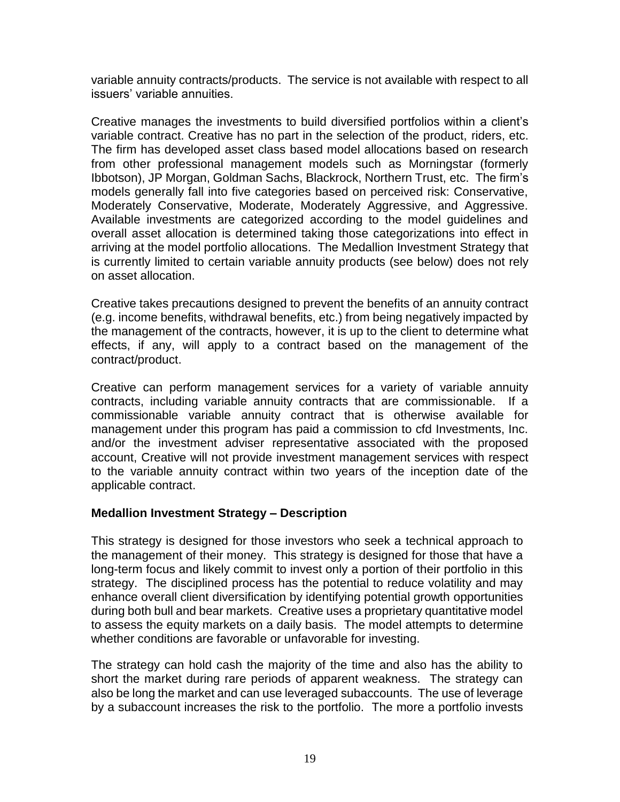variable annuity contracts/products. The service is not available with respect to all issuers' variable annuities.

Creative manages the investments to build diversified portfolios within a client's variable contract. Creative has no part in the selection of the product, riders, etc. The firm has developed asset class based model allocations based on research from other professional management models such as Morningstar (formerly Ibbotson), JP Morgan, Goldman Sachs, Blackrock, Northern Trust, etc. The firm's models generally fall into five categories based on perceived risk: Conservative, Moderately Conservative, Moderate, Moderately Aggressive, and Aggressive. Available investments are categorized according to the model guidelines and overall asset allocation is determined taking those categorizations into effect in arriving at the model portfolio allocations. The Medallion Investment Strategy that is currently limited to certain variable annuity products (see below) does not rely on asset allocation.

Creative takes precautions designed to prevent the benefits of an annuity contract (e.g. income benefits, withdrawal benefits, etc.) from being negatively impacted by the management of the contracts, however, it is up to the client to determine what effects, if any, will apply to a contract based on the management of the contract/product.

Creative can perform management services for a variety of variable annuity contracts, including variable annuity contracts that are commissionable. If a commissionable variable annuity contract that is otherwise available for management under this program has paid a commission to cfd Investments, Inc. and/or the investment adviser representative associated with the proposed account, Creative will not provide investment management services with respect to the variable annuity contract within two years of the inception date of the applicable contract.

#### **Medallion Investment Strategy – Description**

This strategy is designed for those investors who seek a technical approach to the management of their money. This strategy is designed for those that have a long-term focus and likely commit to invest only a portion of their portfolio in this strategy. The disciplined process has the potential to reduce volatility and may enhance overall client diversification by identifying potential growth opportunities during both bull and bear markets. Creative uses a proprietary quantitative model to assess the equity markets on a daily basis. The model attempts to determine whether conditions are favorable or unfavorable for investing.

The strategy can hold cash the majority of the time and also has the ability to short the market during rare periods of apparent weakness. The strategy can also be long the market and can use leveraged subaccounts. The use of leverage by a subaccount increases the risk to the portfolio. The more a portfolio invests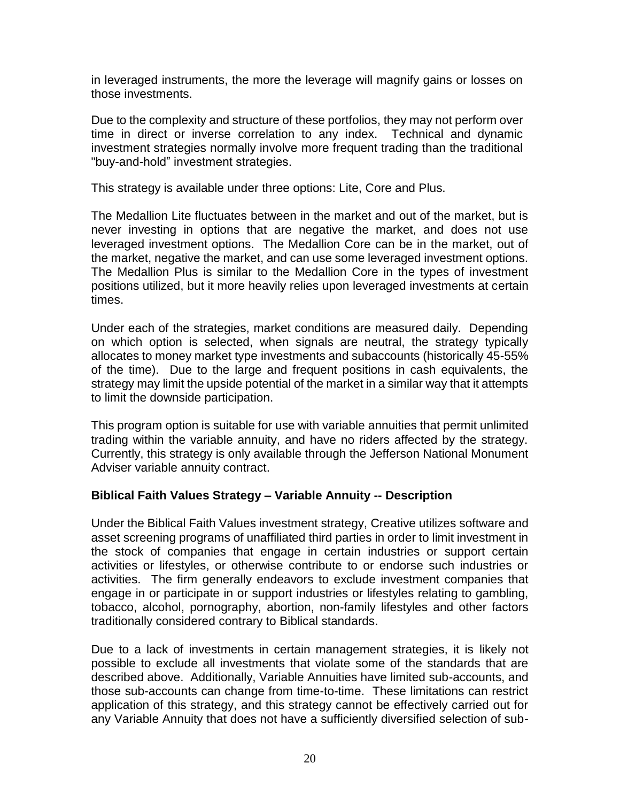in leveraged instruments, the more the leverage will magnify gains or losses on those investments.

Due to the complexity and structure of these portfolios, they may not perform over time in direct or inverse correlation to any index. Technical and dynamic investment strategies normally involve more frequent trading than the traditional "buy-and-hold" investment strategies.

This strategy is available under three options: Lite, Core and Plus.

The Medallion Lite fluctuates between in the market and out of the market, but is never investing in options that are negative the market, and does not use leveraged investment options. The Medallion Core can be in the market, out of the market, negative the market, and can use some leveraged investment options. The Medallion Plus is similar to the Medallion Core in the types of investment positions utilized, but it more heavily relies upon leveraged investments at certain times.

Under each of the strategies, market conditions are measured daily. Depending on which option is selected, when signals are neutral, the strategy typically allocates to money market type investments and subaccounts (historically 45-55% of the time). Due to the large and frequent positions in cash equivalents, the strategy may limit the upside potential of the market in a similar way that it attempts to limit the downside participation.

This program option is suitable for use with variable annuities that permit unlimited trading within the variable annuity, and have no riders affected by the strategy. Currently, this strategy is only available through the Jefferson National Monument Adviser variable annuity contract.

#### **Biblical Faith Values Strategy – Variable Annuity -- Description**

Under the Biblical Faith Values investment strategy, Creative utilizes software and asset screening programs of unaffiliated third parties in order to limit investment in the stock of companies that engage in certain industries or support certain activities or lifestyles, or otherwise contribute to or endorse such industries or activities. The firm generally endeavors to exclude investment companies that engage in or participate in or support industries or lifestyles relating to gambling, tobacco, alcohol, pornography, abortion, non-family lifestyles and other factors traditionally considered contrary to Biblical standards.

Due to a lack of investments in certain management strategies, it is likely not possible to exclude all investments that violate some of the standards that are described above. Additionally, Variable Annuities have limited sub-accounts, and those sub-accounts can change from time-to-time. These limitations can restrict application of this strategy, and this strategy cannot be effectively carried out for any Variable Annuity that does not have a sufficiently diversified selection of sub-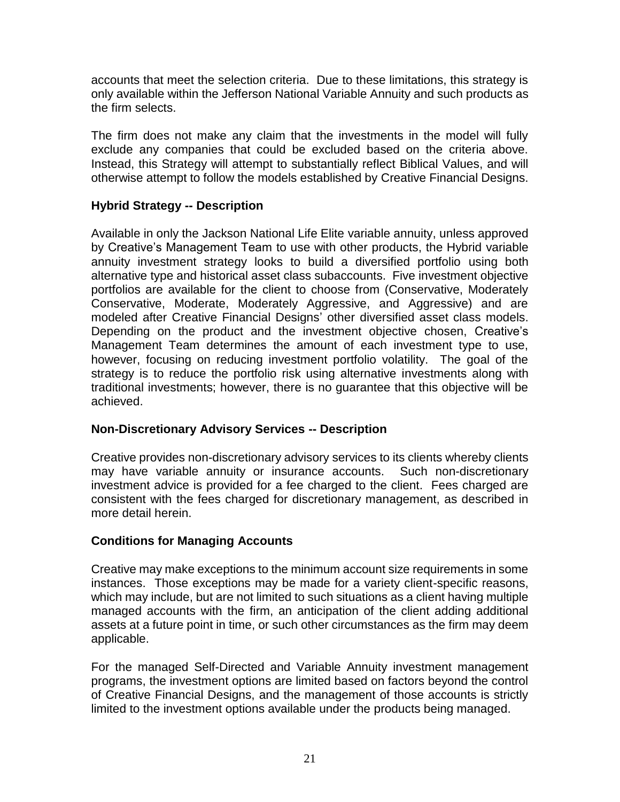accounts that meet the selection criteria. Due to these limitations, this strategy is only available within the Jefferson National Variable Annuity and such products as the firm selects.

The firm does not make any claim that the investments in the model will fully exclude any companies that could be excluded based on the criteria above. Instead, this Strategy will attempt to substantially reflect Biblical Values, and will otherwise attempt to follow the models established by Creative Financial Designs.

# **Hybrid Strategy -- Description**

Available in only the Jackson National Life Elite variable annuity, unless approved by Creative's Management Team to use with other products, the Hybrid variable annuity investment strategy looks to build a diversified portfolio using both alternative type and historical asset class subaccounts. Five investment objective portfolios are available for the client to choose from (Conservative, Moderately Conservative, Moderate, Moderately Aggressive, and Aggressive) and are modeled after Creative Financial Designs' other diversified asset class models. Depending on the product and the investment objective chosen, Creative's Management Team determines the amount of each investment type to use, however, focusing on reducing investment portfolio volatility. The goal of the strategy is to reduce the portfolio risk using alternative investments along with traditional investments; however, there is no guarantee that this objective will be achieved.

# **Non-Discretionary Advisory Services -- Description**

Creative provides non-discretionary advisory services to its clients whereby clients may have variable annuity or insurance accounts. Such non-discretionary investment advice is provided for a fee charged to the client. Fees charged are consistent with the fees charged for discretionary management, as described in more detail herein.

# **Conditions for Managing Accounts**

Creative may make exceptions to the minimum account size requirements in some instances. Those exceptions may be made for a variety client-specific reasons, which may include, but are not limited to such situations as a client having multiple managed accounts with the firm, an anticipation of the client adding additional assets at a future point in time, or such other circumstances as the firm may deem applicable.

For the managed Self-Directed and Variable Annuity investment management programs, the investment options are limited based on factors beyond the control of Creative Financial Designs, and the management of those accounts is strictly limited to the investment options available under the products being managed.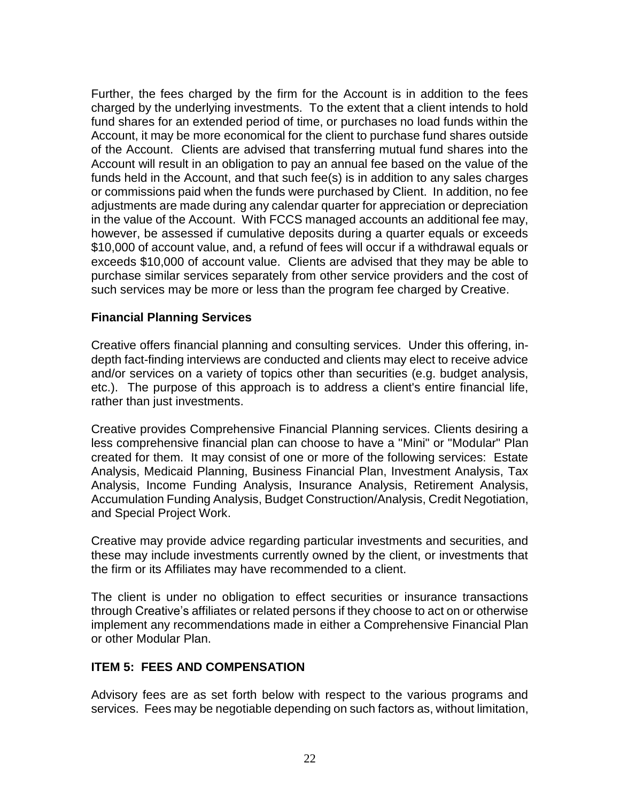Further, the fees charged by the firm for the Account is in addition to the fees charged by the underlying investments. To the extent that a client intends to hold fund shares for an extended period of time, or purchases no load funds within the Account, it may be more economical for the client to purchase fund shares outside of the Account. Clients are advised that transferring mutual fund shares into the Account will result in an obligation to pay an annual fee based on the value of the funds held in the Account, and that such fee(s) is in addition to any sales charges or commissions paid when the funds were purchased by Client. In addition, no fee adjustments are made during any calendar quarter for appreciation or depreciation in the value of the Account. With FCCS managed accounts an additional fee may, however, be assessed if cumulative deposits during a quarter equals or exceeds \$10,000 of account value, and, a refund of fees will occur if a withdrawal equals or exceeds \$10,000 of account value. Clients are advised that they may be able to purchase similar services separately from other service providers and the cost of such services may be more or less than the program fee charged by Creative.

### **Financial Planning Services**

Creative offers financial planning and consulting services. Under this offering, indepth fact-finding interviews are conducted and clients may elect to receive advice and/or services on a variety of topics other than securities (e.g. budget analysis, etc.). The purpose of this approach is to address a client's entire financial life, rather than just investments.

Creative provides Comprehensive Financial Planning services. Clients desiring a less comprehensive financial plan can choose to have a "Mini" or "Modular" Plan created for them. It may consist of one or more of the following services: Estate Analysis, Medicaid Planning, Business Financial Plan, Investment Analysis, Tax Analysis, Income Funding Analysis, Insurance Analysis, Retirement Analysis, Accumulation Funding Analysis, Budget Construction/Analysis, Credit Negotiation, and Special Project Work.

Creative may provide advice regarding particular investments and securities, and these may include investments currently owned by the client, or investments that the firm or its Affiliates may have recommended to a client.

The client is under no obligation to effect securities or insurance transactions through Creative's affiliates or related persons if they choose to act on or otherwise implement any recommendations made in either a Comprehensive Financial Plan or other Modular Plan.

# **ITEM 5: FEES AND COMPENSATION**

Advisory fees are as set forth below with respect to the various programs and services. Fees may be negotiable depending on such factors as, without limitation,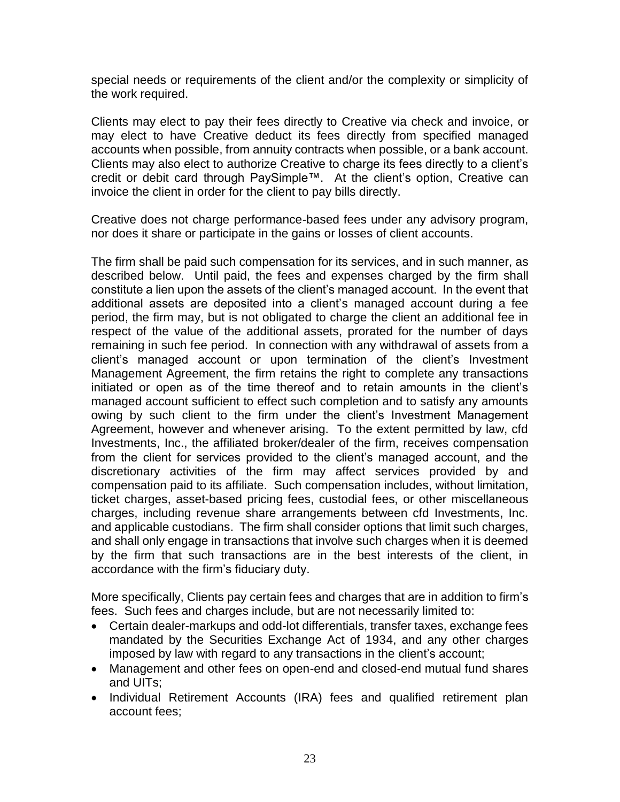special needs or requirements of the client and/or the complexity or simplicity of the work required.

Clients may elect to pay their fees directly to Creative via check and invoice, or may elect to have Creative deduct its fees directly from specified managed accounts when possible, from annuity contracts when possible, or a bank account. Clients may also elect to authorize Creative to charge its fees directly to a client's credit or debit card through PaySimple™. At the client's option, Creative can invoice the client in order for the client to pay bills directly.

Creative does not charge performance-based fees under any advisory program, nor does it share or participate in the gains or losses of client accounts.

The firm shall be paid such compensation for its services, and in such manner, as described below. Until paid, the fees and expenses charged by the firm shall constitute a lien upon the assets of the client's managed account. In the event that additional assets are deposited into a client's managed account during a fee period, the firm may, but is not obligated to charge the client an additional fee in respect of the value of the additional assets, prorated for the number of days remaining in such fee period. In connection with any withdrawal of assets from a client's managed account or upon termination of the client's Investment Management Agreement, the firm retains the right to complete any transactions initiated or open as of the time thereof and to retain amounts in the client's managed account sufficient to effect such completion and to satisfy any amounts owing by such client to the firm under the client's Investment Management Agreement, however and whenever arising. To the extent permitted by law, cfd Investments, Inc., the affiliated broker/dealer of the firm, receives compensation from the client for services provided to the client's managed account, and the discretionary activities of the firm may affect services provided by and compensation paid to its affiliate. Such compensation includes, without limitation, ticket charges, asset-based pricing fees, custodial fees, or other miscellaneous charges, including revenue share arrangements between cfd Investments, Inc. and applicable custodians. The firm shall consider options that limit such charges, and shall only engage in transactions that involve such charges when it is deemed by the firm that such transactions are in the best interests of the client, in accordance with the firm's fiduciary duty.

More specifically, Clients pay certain fees and charges that are in addition to firm's fees. Such fees and charges include, but are not necessarily limited to:

- Certain dealer-markups and odd-lot differentials, transfer taxes, exchange fees mandated by the Securities Exchange Act of 1934, and any other charges imposed by law with regard to any transactions in the client's account;
- Management and other fees on open-end and closed-end mutual fund shares and UITs;
- Individual Retirement Accounts (IRA) fees and qualified retirement plan account fees;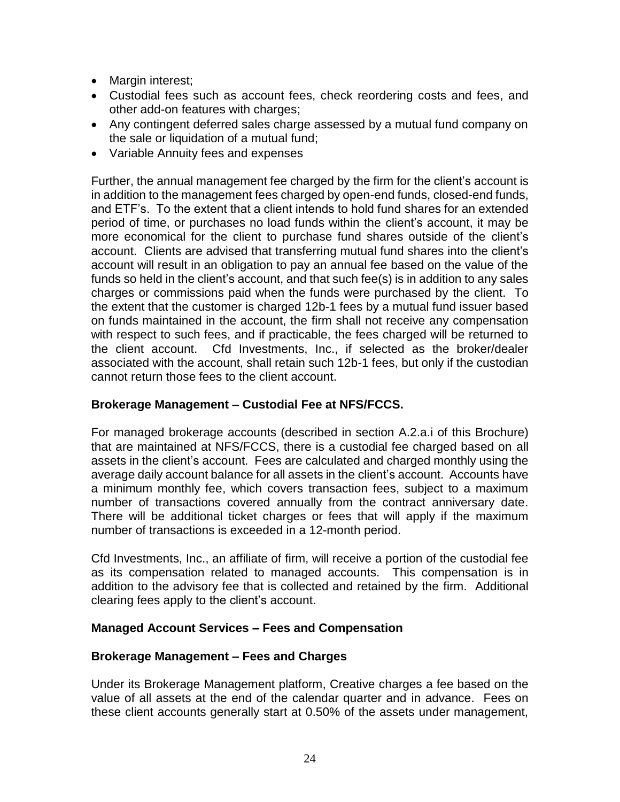- Margin interest;
- Custodial fees such as account fees, check reordering costs and fees, and other add-on features with charges;
- Any contingent deferred sales charge assessed by a mutual fund company on the sale or liquidation of a mutual fund;
- Variable Annuity fees and expenses

Further, the annual management fee charged by the firm for the client's account is in addition to the management fees charged by open-end funds, closed-end funds, and ETF's. To the extent that a client intends to hold fund shares for an extended period of time, or purchases no load funds within the client's account, it may be more economical for the client to purchase fund shares outside of the client's account. Clients are advised that transferring mutual fund shares into the client's account will result in an obligation to pay an annual fee based on the value of the funds so held in the client's account, and that such fee(s) is in addition to any sales charges or commissions paid when the funds were purchased by the client. To the extent that the customer is charged 12b-1 fees by a mutual fund issuer based on funds maintained in the account, the firm shall not receive any compensation with respect to such fees, and if practicable, the fees charged will be returned to the client account. Cfd Investments, Inc., if selected as the broker/dealer associated with the account, shall retain such 12b-1 fees, but only if the custodian cannot return those fees to the client account.

### **Brokerage Management – Custodial Fee at NFS/FCCS.**

For managed brokerage accounts (described in section A.2.a.i of this Brochure) that are maintained at NFS/FCCS, there is a custodial fee charged based on all assets in the client's account. Fees are calculated and charged monthly using the average daily account balance for all assets in the client's account. Accounts have a minimum monthly fee, which covers transaction fees, subject to a maximum number of transactions covered annually from the contract anniversary date. There will be additional ticket charges or fees that will apply if the maximum number of transactions is exceeded in a 12-month period.

Cfd Investments, Inc., an affiliate of firm, will receive a portion of the custodial fee as its compensation related to managed accounts. This compensation is in addition to the advisory fee that is collected and retained by the firm. Additional clearing fees apply to the client's account.

#### **Managed Account Services – Fees and Compensation**

#### **Brokerage Management – Fees and Charges**

Under its Brokerage Management platform, Creative charges a fee based on the value of all assets at the end of the calendar quarter and in advance. Fees on these client accounts generally start at 0.50% of the assets under management,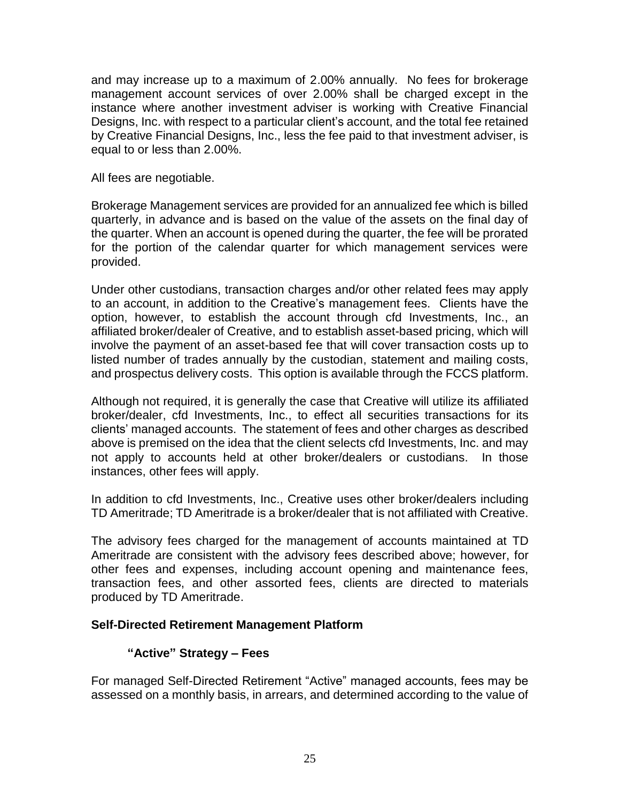and may increase up to a maximum of 2.00% annually. No fees for brokerage management account services of over 2.00% shall be charged except in the instance where another investment adviser is working with Creative Financial Designs, Inc. with respect to a particular client's account, and the total fee retained by Creative Financial Designs, Inc., less the fee paid to that investment adviser, is equal to or less than 2.00%.

All fees are negotiable.

Brokerage Management services are provided for an annualized fee which is billed quarterly, in advance and is based on the value of the assets on the final day of the quarter. When an account is opened during the quarter, the fee will be prorated for the portion of the calendar quarter for which management services were provided.

Under other custodians, transaction charges and/or other related fees may apply to an account, in addition to the Creative's management fees. Clients have the option, however, to establish the account through cfd Investments, Inc., an affiliated broker/dealer of Creative, and to establish asset-based pricing, which will involve the payment of an asset-based fee that will cover transaction costs up to listed number of trades annually by the custodian, statement and mailing costs, and prospectus delivery costs. This option is available through the FCCS platform.

Although not required, it is generally the case that Creative will utilize its affiliated broker/dealer, cfd Investments, Inc., to effect all securities transactions for its clients' managed accounts. The statement of fees and other charges as described above is premised on the idea that the client selects cfd Investments, Inc. and may not apply to accounts held at other broker/dealers or custodians. In those instances, other fees will apply.

In addition to cfd Investments, Inc., Creative uses other broker/dealers including TD Ameritrade; TD Ameritrade is a broker/dealer that is not affiliated with Creative.

The advisory fees charged for the management of accounts maintained at TD Ameritrade are consistent with the advisory fees described above; however, for other fees and expenses, including account opening and maintenance fees, transaction fees, and other assorted fees, clients are directed to materials produced by TD Ameritrade.

#### **Self-Directed Retirement Management Platform**

#### **"Active" Strategy – Fees**

For managed Self-Directed Retirement "Active" managed accounts, fees may be assessed on a monthly basis, in arrears, and determined according to the value of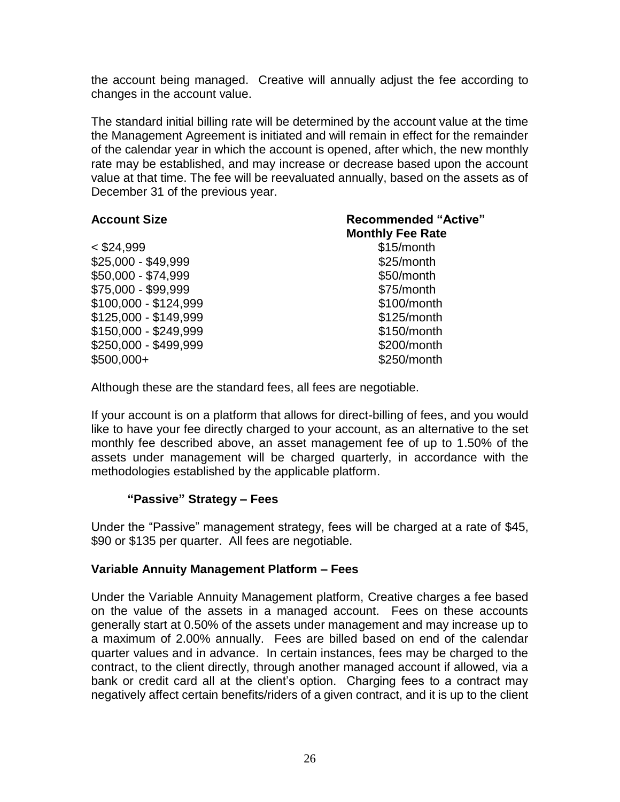the account being managed. Creative will annually adjust the fee according to changes in the account value.

The standard initial billing rate will be determined by the account value at the time the Management Agreement is initiated and will remain in effect for the remainder of the calendar year in which the account is opened, after which, the new monthly rate may be established, and may increase or decrease based upon the account value at that time. The fee will be reevaluated annually, based on the assets as of December 31 of the previous year.

| <b>Account Size</b>   | <b>Recommended "Active"</b> |
|-----------------------|-----------------------------|
|                       | <b>Monthly Fee Rate</b>     |
| $<$ \$24,999          | \$15/month                  |
| \$25,000 - \$49,999   | \$25/month                  |
| \$50,000 - \$74,999   | \$50/month                  |
| \$75,000 - \$99,999   | \$75/month                  |
| \$100,000 - \$124,999 | \$100/month                 |
| \$125,000 - \$149,999 | \$125/month                 |
| \$150,000 - \$249,999 | \$150/month                 |
| \$250,000 - \$499,999 | \$200/month                 |
| $$500,000+$           | \$250/month                 |

Although these are the standard fees, all fees are negotiable.

If your account is on a platform that allows for direct-billing of fees, and you would like to have your fee directly charged to your account, as an alternative to the set monthly fee described above, an asset management fee of up to 1.50% of the assets under management will be charged quarterly, in accordance with the methodologies established by the applicable platform.

# **"Passive" Strategy – Fees**

Under the "Passive" management strategy, fees will be charged at a rate of \$45, \$90 or \$135 per quarter. All fees are negotiable.

#### **Variable Annuity Management Platform – Fees**

Under the Variable Annuity Management platform, Creative charges a fee based on the value of the assets in a managed account. Fees on these accounts generally start at 0.50% of the assets under management and may increase up to a maximum of 2.00% annually. Fees are billed based on end of the calendar quarter values and in advance. In certain instances, fees may be charged to the contract, to the client directly, through another managed account if allowed, via a bank or credit card all at the client's option. Charging fees to a contract may negatively affect certain benefits/riders of a given contract, and it is up to the client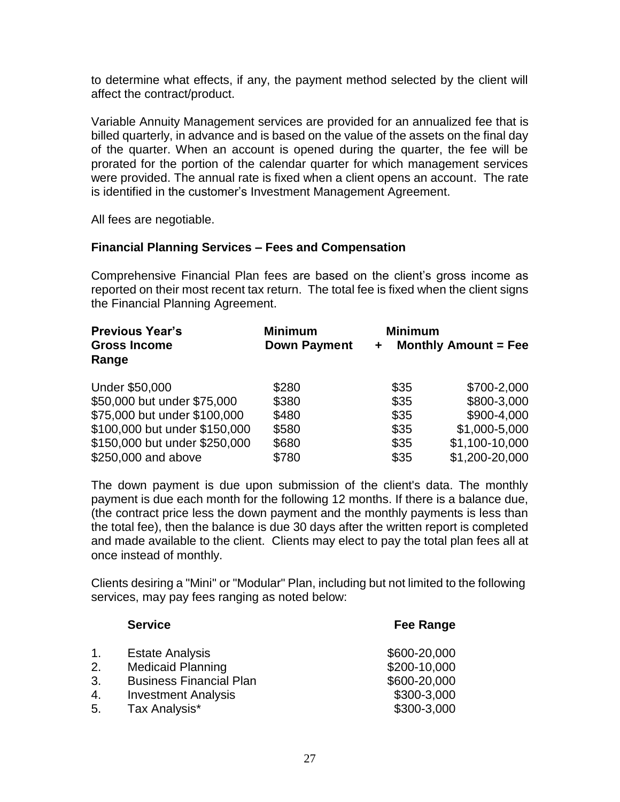to determine what effects, if any, the payment method selected by the client will affect the contract/product.

Variable Annuity Management services are provided for an annualized fee that is billed quarterly, in advance and is based on the value of the assets on the final day of the quarter. When an account is opened during the quarter, the fee will be prorated for the portion of the calendar quarter for which management services were provided. The annual rate is fixed when a client opens an account. The rate is identified in the customer's Investment Management Agreement.

All fees are negotiable.

#### **Financial Planning Services – Fees and Compensation**

Comprehensive Financial Plan fees are based on the client's gross income as reported on their most recent tax return. The total fee is fixed when the client signs the Financial Planning Agreement.

| <b>Previous Year's</b><br><b>Gross Income</b><br>Range | <b>Minimum</b><br><b>Down Payment</b> | <b>Minimum</b> | Monthly Amount $=$ Fee |
|--------------------------------------------------------|---------------------------------------|----------------|------------------------|
| Under \$50,000                                         | \$280                                 | \$35           | \$700-2,000            |
| \$50,000 but under \$75,000                            | \$380                                 | \$35           | \$800-3,000            |
| \$75,000 but under \$100,000                           | \$480                                 | \$35           | \$900-4,000            |
| \$100,000 but under \$150,000                          | \$580                                 | \$35           | \$1,000-5,000          |
| \$150,000 but under \$250,000                          | \$680                                 | \$35           | \$1,100-10,000         |
| \$250,000 and above                                    | \$780                                 | \$35           | \$1,200-20,000         |

The down payment is due upon submission of the client's data. The monthly payment is due each month for the following 12 months. If there is a balance due, (the contract price less the down payment and the monthly payments is less than the total fee), then the balance is due 30 days after the written report is completed and made available to the client. Clients may elect to pay the total plan fees all at once instead of monthly.

Clients desiring a "Mini" or "Modular" Plan, including but not limited to the following services, may pay fees ranging as noted below:

| <b>Fee Range</b> |
|------------------|
| \$600-20,000     |
| \$200-10,000     |
| \$600-20,000     |
| \$300-3,000      |
| \$300-3,000      |
|                  |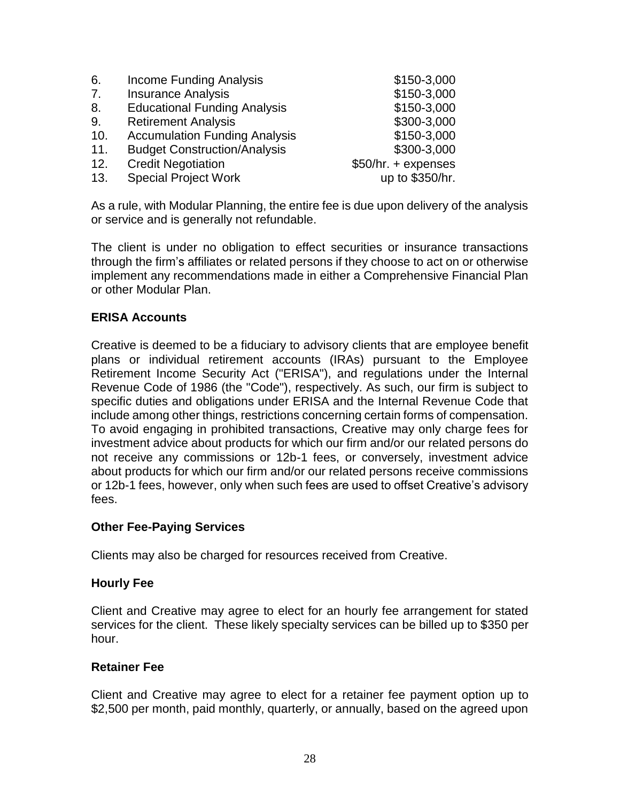| 6.  | <b>Income Funding Analysis</b>       | \$150-3,000         |
|-----|--------------------------------------|---------------------|
| 7.  | <b>Insurance Analysis</b>            | \$150-3,000         |
| 8.  | <b>Educational Funding Analysis</b>  | \$150-3,000         |
| 9.  | <b>Retirement Analysis</b>           | \$300-3,000         |
| 10. | <b>Accumulation Funding Analysis</b> | \$150-3,000         |
| 11. | <b>Budget Construction/Analysis</b>  | \$300-3,000         |
| 12. | <b>Credit Negotiation</b>            | \$50/hr. + expenses |
| 13. | <b>Special Project Work</b>          | up to \$350/hr.     |

As a rule, with Modular Planning, the entire fee is due upon delivery of the analysis or service and is generally not refundable.

The client is under no obligation to effect securities or insurance transactions through the firm's affiliates or related persons if they choose to act on or otherwise implement any recommendations made in either a Comprehensive Financial Plan or other Modular Plan.

#### **ERISA Accounts**

Creative is deemed to be a fiduciary to advisory clients that are employee benefit plans or individual retirement accounts (IRAs) pursuant to the Employee Retirement Income Security Act ("ERISA"), and regulations under the Internal Revenue Code of 1986 (the "Code"), respectively. As such, our firm is subject to specific duties and obligations under ERISA and the Internal Revenue Code that include among other things, restrictions concerning certain forms of compensation. To avoid engaging in prohibited transactions, Creative may only charge fees for investment advice about products for which our firm and/or our related persons do not receive any commissions or 12b-1 fees, or conversely, investment advice about products for which our firm and/or our related persons receive commissions or 12b-1 fees, however, only when such fees are used to offset Creative's advisory fees.

#### **Other Fee-Paying Services**

Clients may also be charged for resources received from Creative.

#### **Hourly Fee**

Client and Creative may agree to elect for an hourly fee arrangement for stated services for the client. These likely specialty services can be billed up to \$350 per hour.

#### **Retainer Fee**

Client and Creative may agree to elect for a retainer fee payment option up to \$2,500 per month, paid monthly, quarterly, or annually, based on the agreed upon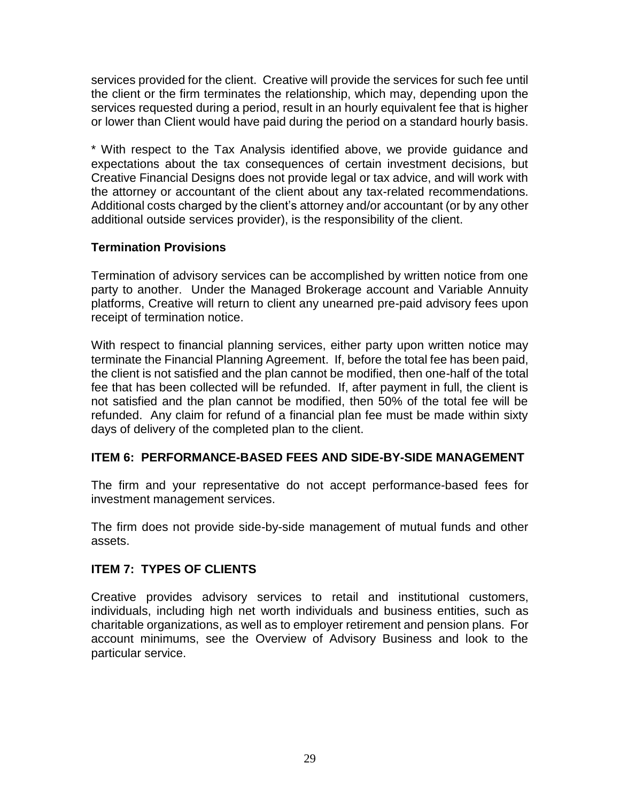services provided for the client. Creative will provide the services for such fee until the client or the firm terminates the relationship, which may, depending upon the services requested during a period, result in an hourly equivalent fee that is higher or lower than Client would have paid during the period on a standard hourly basis.

\* With respect to the Tax Analysis identified above, we provide guidance and expectations about the tax consequences of certain investment decisions, but Creative Financial Designs does not provide legal or tax advice, and will work with the attorney or accountant of the client about any tax-related recommendations. Additional costs charged by the client's attorney and/or accountant (or by any other additional outside services provider), is the responsibility of the client.

### **Termination Provisions**

Termination of advisory services can be accomplished by written notice from one party to another. Under the Managed Brokerage account and Variable Annuity platforms, Creative will return to client any unearned pre-paid advisory fees upon receipt of termination notice.

With respect to financial planning services, either party upon written notice may terminate the Financial Planning Agreement. If, before the total fee has been paid, the client is not satisfied and the plan cannot be modified, then one-half of the total fee that has been collected will be refunded. If, after payment in full, the client is not satisfied and the plan cannot be modified, then 50% of the total fee will be refunded. Any claim for refund of a financial plan fee must be made within sixty days of delivery of the completed plan to the client.

#### **ITEM 6: PERFORMANCE-BASED FEES AND SIDE-BY-SIDE MANAGEMENT**

The firm and your representative do not accept performance-based fees for investment management services.

The firm does not provide side-by-side management of mutual funds and other assets.

#### **ITEM 7: TYPES OF CLIENTS**

Creative provides advisory services to retail and institutional customers, individuals, including high net worth individuals and business entities, such as charitable organizations, as well as to employer retirement and pension plans. For account minimums, see the Overview of Advisory Business and look to the particular service.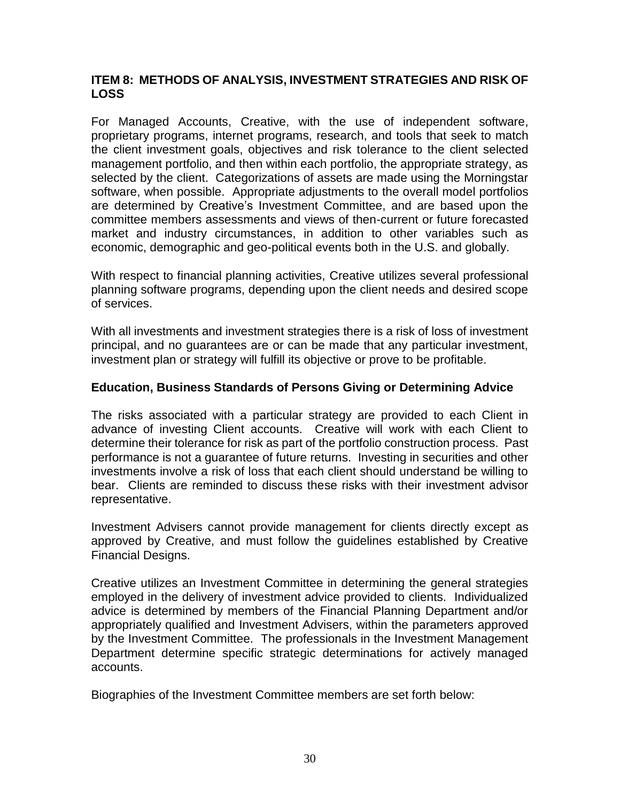### **ITEM 8: METHODS OF ANALYSIS, INVESTMENT STRATEGIES AND RISK OF LOSS**

For Managed Accounts, Creative, with the use of independent software, proprietary programs, internet programs, research, and tools that seek to match the client investment goals, objectives and risk tolerance to the client selected management portfolio, and then within each portfolio, the appropriate strategy, as selected by the client. Categorizations of assets are made using the Morningstar software, when possible. Appropriate adjustments to the overall model portfolios are determined by Creative's Investment Committee, and are based upon the committee members assessments and views of then-current or future forecasted market and industry circumstances, in addition to other variables such as economic, demographic and geo-political events both in the U.S. and globally.

With respect to financial planning activities, Creative utilizes several professional planning software programs, depending upon the client needs and desired scope of services.

With all investments and investment strategies there is a risk of loss of investment principal, and no guarantees are or can be made that any particular investment, investment plan or strategy will fulfill its objective or prove to be profitable.

### **Education, Business Standards of Persons Giving or Determining Advice**

The risks associated with a particular strategy are provided to each Client in advance of investing Client accounts. Creative will work with each Client to determine their tolerance for risk as part of the portfolio construction process. Past performance is not a guarantee of future returns. Investing in securities and other investments involve a risk of loss that each client should understand be willing to bear. Clients are reminded to discuss these risks with their investment advisor representative.

Investment Advisers cannot provide management for clients directly except as approved by Creative, and must follow the guidelines established by Creative Financial Designs.

Creative utilizes an Investment Committee in determining the general strategies employed in the delivery of investment advice provided to clients. Individualized advice is determined by members of the Financial Planning Department and/or appropriately qualified and Investment Advisers, within the parameters approved by the Investment Committee. The professionals in the Investment Management Department determine specific strategic determinations for actively managed accounts.

Biographies of the Investment Committee members are set forth below: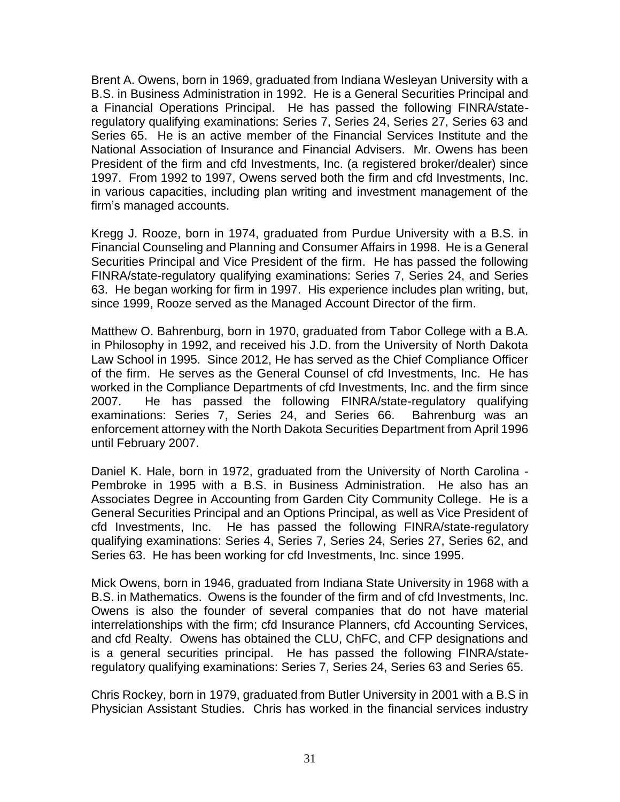Brent A. Owens, born in 1969, graduated from Indiana Wesleyan University with a B.S. in Business Administration in 1992. He is a General Securities Principal and a Financial Operations Principal. He has passed the following FINRA/stateregulatory qualifying examinations: Series 7, Series 24, Series 27, Series 63 and Series 65. He is an active member of the Financial Services Institute and the National Association of Insurance and Financial Advisers. Mr. Owens has been President of the firm and cfd Investments, Inc. (a registered broker/dealer) since 1997. From 1992 to 1997, Owens served both the firm and cfd Investments, Inc. in various capacities, including plan writing and investment management of the firm's managed accounts.

Kregg J. Rooze, born in 1974, graduated from Purdue University with a B.S. in Financial Counseling and Planning and Consumer Affairs in 1998. He is a General Securities Principal and Vice President of the firm. He has passed the following FINRA/state-regulatory qualifying examinations: Series 7, Series 24, and Series 63. He began working for firm in 1997. His experience includes plan writing, but, since 1999, Rooze served as the Managed Account Director of the firm.

Matthew O. Bahrenburg, born in 1970, graduated from Tabor College with a B.A. in Philosophy in 1992, and received his J.D. from the University of North Dakota Law School in 1995. Since 2012, He has served as the Chief Compliance Officer of the firm. He serves as the General Counsel of cfd Investments, Inc. He has worked in the Compliance Departments of cfd Investments, Inc. and the firm since 2007. He has passed the following FINRA/state-regulatory qualifying examinations: Series 7, Series 24, and Series 66. Bahrenburg was an enforcement attorney with the North Dakota Securities Department from April 1996 until February 2007.

Daniel K. Hale, born in 1972, graduated from the University of North Carolina - Pembroke in 1995 with a B.S. in Business Administration. He also has an Associates Degree in Accounting from Garden City Community College. He is a General Securities Principal and an Options Principal, as well as Vice President of cfd Investments, Inc. He has passed the following FINRA/state-regulatory qualifying examinations: Series 4, Series 7, Series 24, Series 27, Series 62, and Series 63. He has been working for cfd Investments, Inc. since 1995.

Mick Owens, born in 1946, graduated from Indiana State University in 1968 with a B.S. in Mathematics. Owens is the founder of the firm and of cfd Investments, Inc. Owens is also the founder of several companies that do not have material interrelationships with the firm; cfd Insurance Planners, cfd Accounting Services, and cfd Realty. Owens has obtained the CLU, ChFC, and CFP designations and is a general securities principal. He has passed the following FINRA/stateregulatory qualifying examinations: Series 7, Series 24, Series 63 and Series 65.

Chris Rockey, born in 1979, graduated from Butler University in 2001 with a B.S in Physician Assistant Studies. Chris has worked in the financial services industry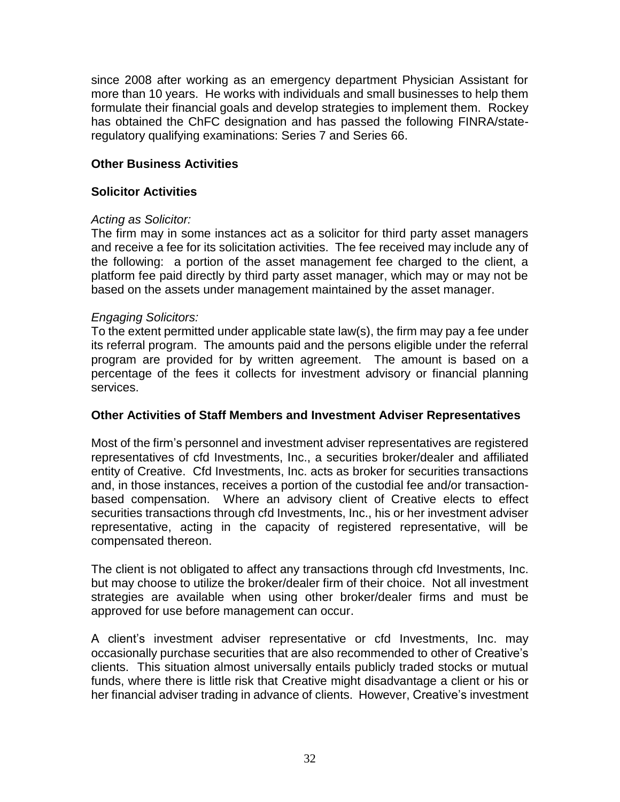since 2008 after working as an emergency department Physician Assistant for more than 10 years. He works with individuals and small businesses to help them formulate their financial goals and develop strategies to implement them. Rockey has obtained the ChFC designation and has passed the following FINRA/stateregulatory qualifying examinations: Series 7 and Series 66.

### **Other Business Activities**

### **Solicitor Activities**

### *Acting as Solicitor:*

The firm may in some instances act as a solicitor for third party asset managers and receive a fee for its solicitation activities. The fee received may include any of the following: a portion of the asset management fee charged to the client, a platform fee paid directly by third party asset manager, which may or may not be based on the assets under management maintained by the asset manager.

### *Engaging Solicitors:*

To the extent permitted under applicable state law(s), the firm may pay a fee under its referral program. The amounts paid and the persons eligible under the referral program are provided for by written agreement. The amount is based on a percentage of the fees it collects for investment advisory or financial planning services.

#### **Other Activities of Staff Members and Investment Adviser Representatives**

Most of the firm's personnel and investment adviser representatives are registered representatives of cfd Investments, Inc., a securities broker/dealer and affiliated entity of Creative. Cfd Investments, Inc. acts as broker for securities transactions and, in those instances, receives a portion of the custodial fee and/or transactionbased compensation. Where an advisory client of Creative elects to effect securities transactions through cfd Investments, Inc., his or her investment adviser representative, acting in the capacity of registered representative, will be compensated thereon.

The client is not obligated to affect any transactions through cfd Investments, Inc. but may choose to utilize the broker/dealer firm of their choice. Not all investment strategies are available when using other broker/dealer firms and must be approved for use before management can occur.

A client's investment adviser representative or cfd Investments, Inc. may occasionally purchase securities that are also recommended to other of Creative's clients. This situation almost universally entails publicly traded stocks or mutual funds, where there is little risk that Creative might disadvantage a client or his or her financial adviser trading in advance of clients. However, Creative's investment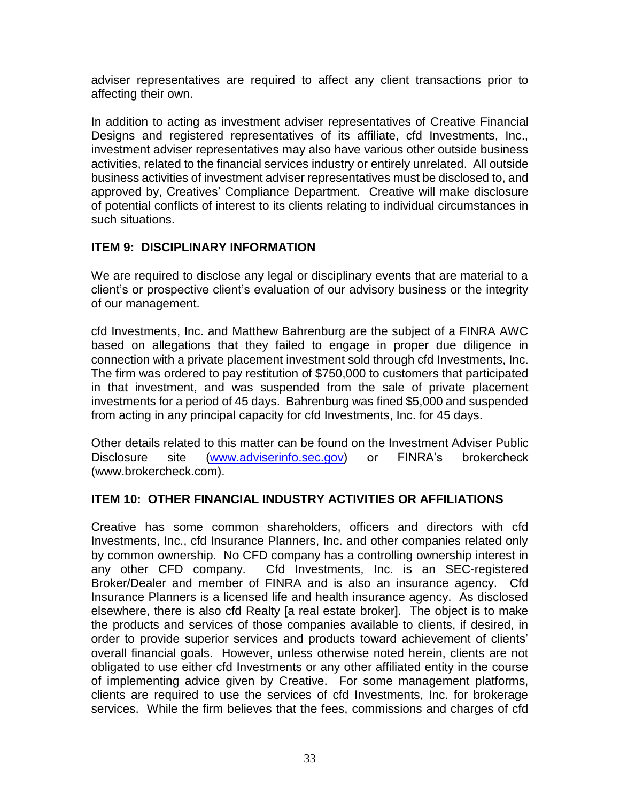adviser representatives are required to affect any client transactions prior to affecting their own.

In addition to acting as investment adviser representatives of Creative Financial Designs and registered representatives of its affiliate, cfd Investments, Inc., investment adviser representatives may also have various other outside business activities, related to the financial services industry or entirely unrelated. All outside business activities of investment adviser representatives must be disclosed to, and approved by, Creatives' Compliance Department. Creative will make disclosure of potential conflicts of interest to its clients relating to individual circumstances in such situations.

# **ITEM 9: DISCIPLINARY INFORMATION**

We are required to disclose any legal or disciplinary events that are material to a client's or prospective client's evaluation of our advisory business or the integrity of our management.

cfd Investments, Inc. and Matthew Bahrenburg are the subject of a FINRA AWC based on allegations that they failed to engage in proper due diligence in connection with a private placement investment sold through cfd Investments, Inc. The firm was ordered to pay restitution of \$750,000 to customers that participated in that investment, and was suspended from the sale of private placement investments for a period of 45 days. Bahrenburg was fined \$5,000 and suspended from acting in any principal capacity for cfd Investments, Inc. for 45 days.

Other details related to this matter can be found on the Investment Adviser Public Disclosure site [\(www.adviserinfo.sec.gov\)](http://www.adviserinfo.sec.gov/) or FINRA's brokercheck (www.brokercheck.com).

# **ITEM 10: OTHER FINANCIAL INDUSTRY ACTIVITIES OR AFFILIATIONS**

Creative has some common shareholders, officers and directors with cfd Investments, Inc., cfd Insurance Planners, Inc. and other companies related only by common ownership. No CFD company has a controlling ownership interest in any other CFD company. Cfd Investments, Inc. is an SEC-registered Broker/Dealer and member of FINRA and is also an insurance agency. Cfd Insurance Planners is a licensed life and health insurance agency. As disclosed elsewhere, there is also cfd Realty [a real estate broker]. The object is to make the products and services of those companies available to clients, if desired, in order to provide superior services and products toward achievement of clients' overall financial goals. However, unless otherwise noted herein, clients are not obligated to use either cfd Investments or any other affiliated entity in the course of implementing advice given by Creative. For some management platforms, clients are required to use the services of cfd Investments, Inc. for brokerage services. While the firm believes that the fees, commissions and charges of cfd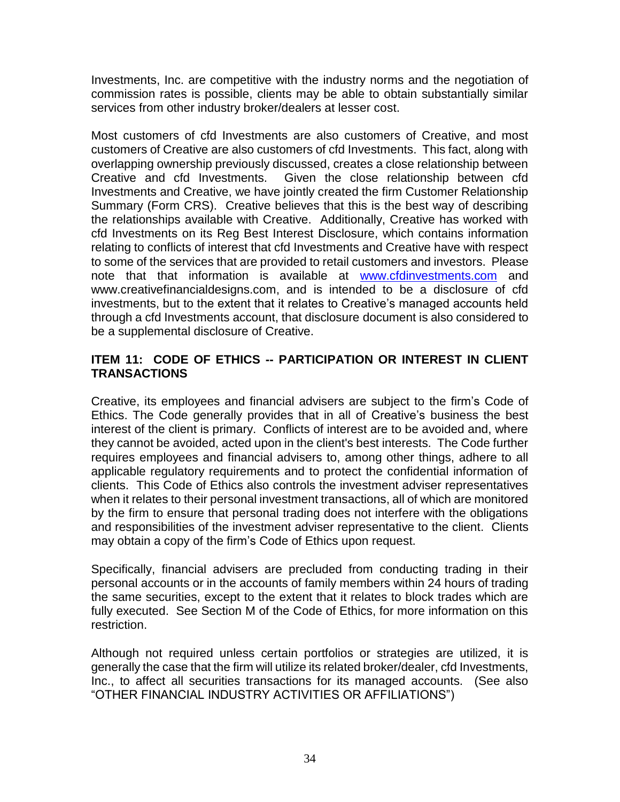Investments, Inc. are competitive with the industry norms and the negotiation of commission rates is possible, clients may be able to obtain substantially similar services from other industry broker/dealers at lesser cost.

Most customers of cfd Investments are also customers of Creative, and most customers of Creative are also customers of cfd Investments. This fact, along with overlapping ownership previously discussed, creates a close relationship between Creative and cfd Investments. Given the close relationship between cfd Investments and Creative, we have jointly created the firm Customer Relationship Summary (Form CRS). Creative believes that this is the best way of describing the relationships available with Creative. Additionally, Creative has worked with cfd Investments on its Reg Best Interest Disclosure, which contains information relating to conflicts of interest that cfd Investments and Creative have with respect to some of the services that are provided to retail customers and investors. Please note that that information is available at [www.cfdinvestments.com](http://www.cfdinvestments.com/) and www.creativefinancialdesigns.com, and is intended to be a disclosure of cfd investments, but to the extent that it relates to Creative's managed accounts held through a cfd Investments account, that disclosure document is also considered to be a supplemental disclosure of Creative.

# **ITEM 11: CODE OF ETHICS -- PARTICIPATION OR INTEREST IN CLIENT TRANSACTIONS**

Creative, its employees and financial advisers are subject to the firm's Code of Ethics. The Code generally provides that in all of Creative's business the best interest of the client is primary. Conflicts of interest are to be avoided and, where they cannot be avoided, acted upon in the client's best interests. The Code further requires employees and financial advisers to, among other things, adhere to all applicable regulatory requirements and to protect the confidential information of clients. This Code of Ethics also controls the investment adviser representatives when it relates to their personal investment transactions, all of which are monitored by the firm to ensure that personal trading does not interfere with the obligations and responsibilities of the investment adviser representative to the client. Clients may obtain a copy of the firm's Code of Ethics upon request.

Specifically, financial advisers are precluded from conducting trading in their personal accounts or in the accounts of family members within 24 hours of trading the same securities, except to the extent that it relates to block trades which are fully executed. See Section M of the Code of Ethics, for more information on this restriction.

Although not required unless certain portfolios or strategies are utilized, it is generally the case that the firm will utilize its related broker/dealer, cfd Investments, Inc., to affect all securities transactions for its managed accounts. (See also "OTHER FINANCIAL INDUSTRY ACTIVITIES OR AFFILIATIONS")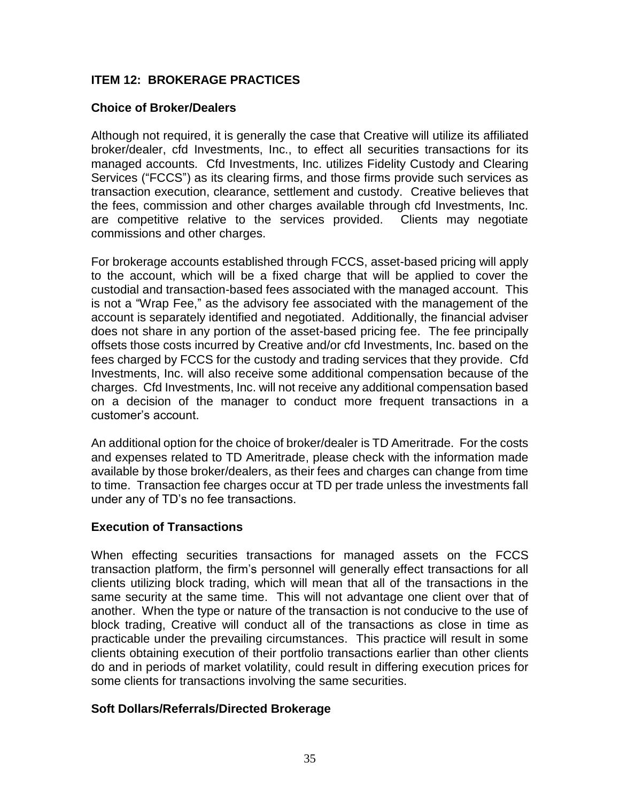# **ITEM 12: BROKERAGE PRACTICES**

### **Choice of Broker/Dealers**

Although not required, it is generally the case that Creative will utilize its affiliated broker/dealer, cfd Investments, Inc., to effect all securities transactions for its managed accounts. Cfd Investments, Inc. utilizes Fidelity Custody and Clearing Services ("FCCS") as its clearing firms, and those firms provide such services as transaction execution, clearance, settlement and custody. Creative believes that the fees, commission and other charges available through cfd Investments, Inc. are competitive relative to the services provided. Clients may negotiate commissions and other charges.

For brokerage accounts established through FCCS, asset-based pricing will apply to the account, which will be a fixed charge that will be applied to cover the custodial and transaction-based fees associated with the managed account. This is not a "Wrap Fee," as the advisory fee associated with the management of the account is separately identified and negotiated. Additionally, the financial adviser does not share in any portion of the asset-based pricing fee. The fee principally offsets those costs incurred by Creative and/or cfd Investments, Inc. based on the fees charged by FCCS for the custody and trading services that they provide. Cfd Investments, Inc. will also receive some additional compensation because of the charges. Cfd Investments, Inc. will not receive any additional compensation based on a decision of the manager to conduct more frequent transactions in a customer's account.

An additional option for the choice of broker/dealer is TD Ameritrade. For the costs and expenses related to TD Ameritrade, please check with the information made available by those broker/dealers, as their fees and charges can change from time to time. Transaction fee charges occur at TD per trade unless the investments fall under any of TD's no fee transactions.

#### **Execution of Transactions**

When effecting securities transactions for managed assets on the FCCS transaction platform, the firm's personnel will generally effect transactions for all clients utilizing block trading, which will mean that all of the transactions in the same security at the same time. This will not advantage one client over that of another. When the type or nature of the transaction is not conducive to the use of block trading, Creative will conduct all of the transactions as close in time as practicable under the prevailing circumstances. This practice will result in some clients obtaining execution of their portfolio transactions earlier than other clients do and in periods of market volatility, could result in differing execution prices for some clients for transactions involving the same securities.

#### **Soft Dollars/Referrals/Directed Brokerage**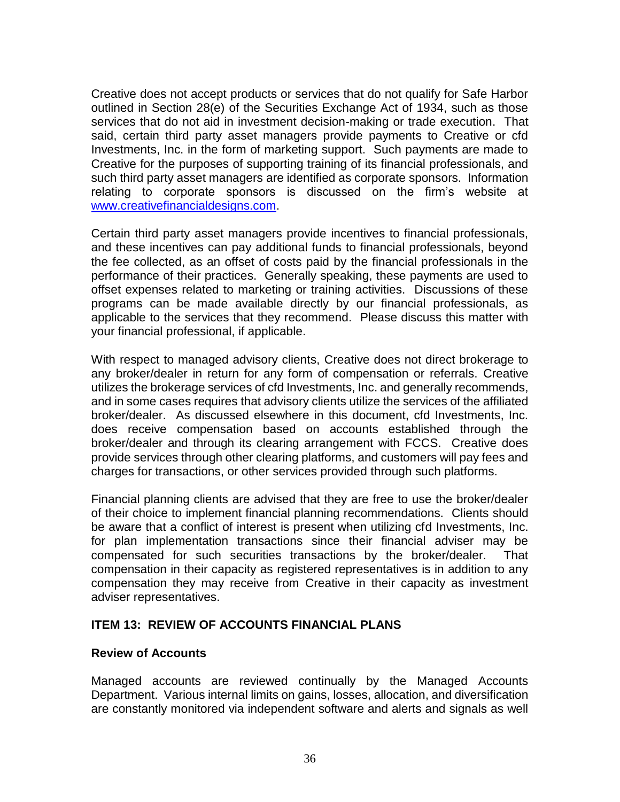Creative does not accept products or services that do not qualify for Safe Harbor outlined in Section 28(e) of the Securities Exchange Act of 1934, such as those services that do not aid in investment decision-making or trade execution. That said, certain third party asset managers provide payments to Creative or cfd Investments, Inc. in the form of marketing support. Such payments are made to Creative for the purposes of supporting training of its financial professionals, and such third party asset managers are identified as corporate sponsors. Information relating to corporate sponsors is discussed on the firm's website at [www.creativefinancialdesigns.com.](http://www.creativefinancialdesigns.com/)

Certain third party asset managers provide incentives to financial professionals, and these incentives can pay additional funds to financial professionals, beyond the fee collected, as an offset of costs paid by the financial professionals in the performance of their practices. Generally speaking, these payments are used to offset expenses related to marketing or training activities. Discussions of these programs can be made available directly by our financial professionals, as applicable to the services that they recommend. Please discuss this matter with your financial professional, if applicable.

With respect to managed advisory clients, Creative does not direct brokerage to any broker/dealer in return for any form of compensation or referrals. Creative utilizes the brokerage services of cfd Investments, Inc. and generally recommends, and in some cases requires that advisory clients utilize the services of the affiliated broker/dealer. As discussed elsewhere in this document, cfd Investments, Inc. does receive compensation based on accounts established through the broker/dealer and through its clearing arrangement with FCCS. Creative does provide services through other clearing platforms, and customers will pay fees and charges for transactions, or other services provided through such platforms.

Financial planning clients are advised that they are free to use the broker/dealer of their choice to implement financial planning recommendations. Clients should be aware that a conflict of interest is present when utilizing cfd Investments, Inc. for plan implementation transactions since their financial adviser may be compensated for such securities transactions by the broker/dealer. That compensation in their capacity as registered representatives is in addition to any compensation they may receive from Creative in their capacity as investment adviser representatives.

#### **ITEM 13: REVIEW OF ACCOUNTS FINANCIAL PLANS**

#### **Review of Accounts**

Managed accounts are reviewed continually by the Managed Accounts Department. Various internal limits on gains, losses, allocation, and diversification are constantly monitored via independent software and alerts and signals as well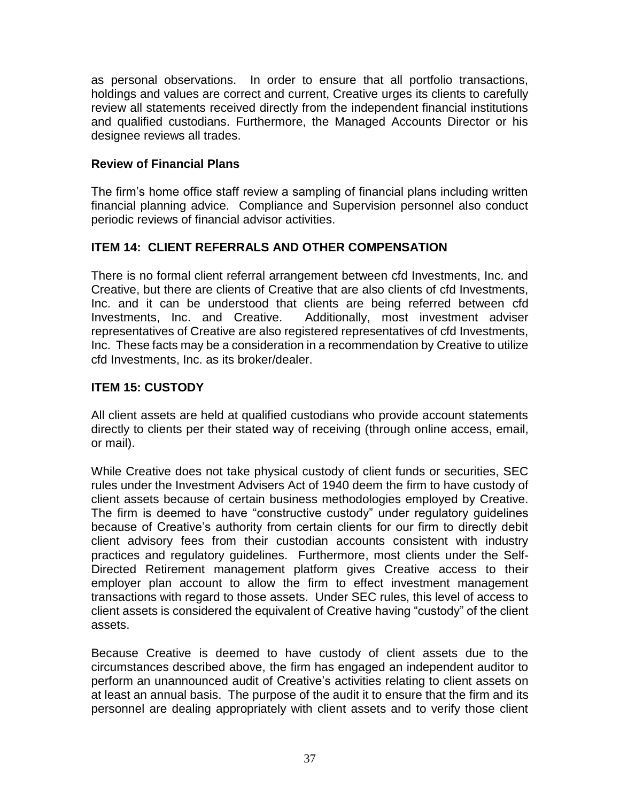as personal observations. In order to ensure that all portfolio transactions, holdings and values are correct and current, Creative urges its clients to carefully review all statements received directly from the independent financial institutions and qualified custodians. Furthermore, the Managed Accounts Director or his designee reviews all trades.

# **Review of Financial Plans**

The firm's home office staff review a sampling of financial plans including written financial planning advice. Compliance and Supervision personnel also conduct periodic reviews of financial advisor activities.

# **ITEM 14: CLIENT REFERRALS AND OTHER COMPENSATION**

There is no formal client referral arrangement between cfd Investments, Inc. and Creative, but there are clients of Creative that are also clients of cfd Investments, Inc. and it can be understood that clients are being referred between cfd Investments, Inc. and Creative. Additionally, most investment adviser representatives of Creative are also registered representatives of cfd Investments, Inc. These facts may be a consideration in a recommendation by Creative to utilize cfd Investments, Inc. as its broker/dealer.

# **ITEM 15: CUSTODY**

All client assets are held at qualified custodians who provide account statements directly to clients per their stated way of receiving (through online access, email, or mail).

While Creative does not take physical custody of client funds or securities, SEC rules under the Investment Advisers Act of 1940 deem the firm to have custody of client assets because of certain business methodologies employed by Creative. The firm is deemed to have "constructive custody" under regulatory guidelines because of Creative's authority from certain clients for our firm to directly debit client advisory fees from their custodian accounts consistent with industry practices and regulatory guidelines. Furthermore, most clients under the Self-Directed Retirement management platform gives Creative access to their employer plan account to allow the firm to effect investment management transactions with regard to those assets. Under SEC rules, this level of access to client assets is considered the equivalent of Creative having "custody" of the client assets.

Because Creative is deemed to have custody of client assets due to the circumstances described above, the firm has engaged an independent auditor to perform an unannounced audit of Creative's activities relating to client assets on at least an annual basis. The purpose of the audit it to ensure that the firm and its personnel are dealing appropriately with client assets and to verify those client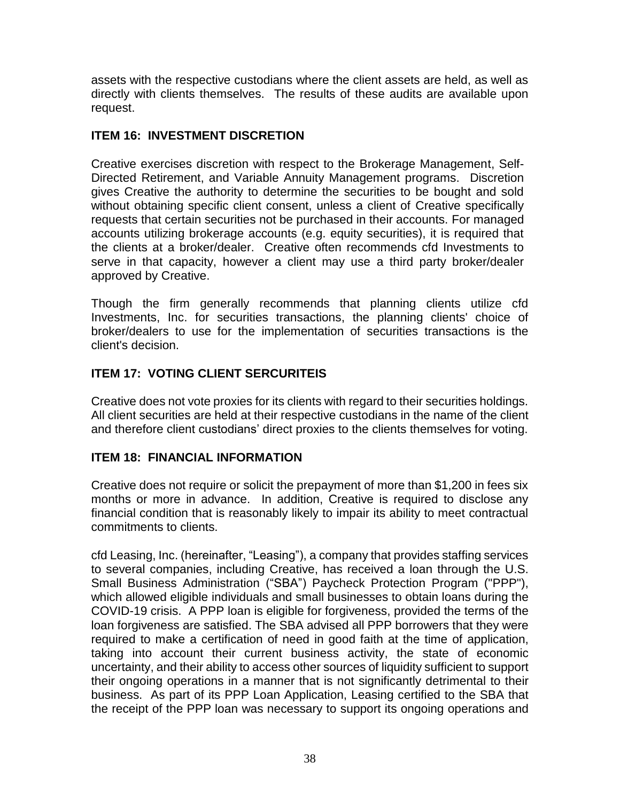assets with the respective custodians where the client assets are held, as well as directly with clients themselves. The results of these audits are available upon request.

# **ITEM 16: INVESTMENT DISCRETION**

Creative exercises discretion with respect to the Brokerage Management, Self-Directed Retirement, and Variable Annuity Management programs. Discretion gives Creative the authority to determine the securities to be bought and sold without obtaining specific client consent, unless a client of Creative specifically requests that certain securities not be purchased in their accounts. For managed accounts utilizing brokerage accounts (e.g. equity securities), it is required that the clients at a broker/dealer. Creative often recommends cfd Investments to serve in that capacity, however a client may use a third party broker/dealer approved by Creative.

Though the firm generally recommends that planning clients utilize cfd Investments, Inc. for securities transactions, the planning clients' choice of broker/dealers to use for the implementation of securities transactions is the client's decision.

# **ITEM 17: VOTING CLIENT SERCURITEIS**

Creative does not vote proxies for its clients with regard to their securities holdings. All client securities are held at their respective custodians in the name of the client and therefore client custodians' direct proxies to the clients themselves for voting.

# **ITEM 18: FINANCIAL INFORMATION**

Creative does not require or solicit the prepayment of more than \$1,200 in fees six months or more in advance. In addition, Creative is required to disclose any financial condition that is reasonably likely to impair its ability to meet contractual commitments to clients.

cfd Leasing, Inc. (hereinafter, "Leasing"), a company that provides staffing services to several companies, including Creative, has received a loan through the U.S. Small Business Administration ("SBA") Paycheck Protection Program ("PPP"), which allowed eligible individuals and small businesses to obtain loans during the COVID-19 crisis. A PPP loan is eligible for forgiveness, provided the terms of the loan forgiveness are satisfied. The SBA advised all PPP borrowers that they were required to make a certification of need in good faith at the time of application, taking into account their current business activity, the state of economic uncertainty, and their ability to access other sources of liquidity sufficient to support their ongoing operations in a manner that is not significantly detrimental to their business. As part of its PPP Loan Application, Leasing certified to the SBA that the receipt of the PPP loan was necessary to support its ongoing operations and